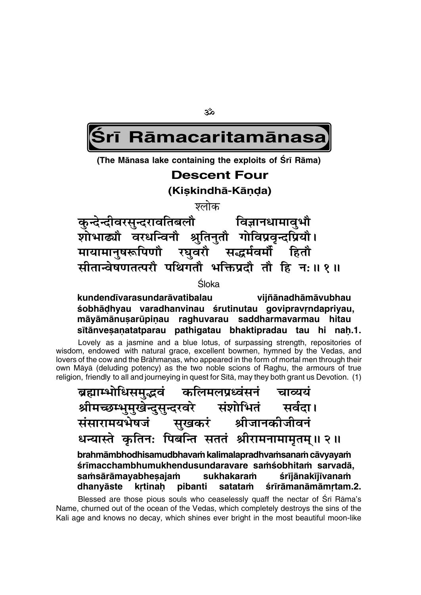ૐ

# Rāmacaritamānasa

(The Mānasa lake containing the exploits of Srī Rāma)

# **Descent Four**

(Kiskindhā-Kānda)

श्लोक

कुन्देन्दीवरसुन्दरावतिबलौ विज्ञानधामावृभौ शोभाढ्यौ वरधन्विनौ श्रुतिनुतौ गोविप्रवृन्दप्रियौ। मायामानुषरूपिणौ रघुवरौ सद्धर्मवर्मौ हितौ सीतान्वेषणतत्परौ पथिगतौ भक्तिप्रदौ तौ हि न: ॥ १ ॥

Śloka

kundendīvarasundarāvatibalau vijñānadhāmāvubhau śobhādhyau varadhanvinau śrutinutau govipravrndapriyau, māyāmānusarūpiņau raghuvarau saddharmavarmau hitau sītānvesanatatparau pathigatau bhaktipradau tau hi nah.1.

Lovely as a jasmine and a blue lotus, of surpassing strength, repositories of wisdom, endowed with natural grace, excellent bowmen, hymned by the Vedas, and lovers of the cow and the Brāhmanas, who appeared in the form of mortal men through their own Māyā (deluding potency) as the two noble scions of Raghu, the armours of true religion, friendly to all and journeying in quest for Sita, may they both grant us Devotion. (1)

ब्रह्माम्भोधिसमद्भवं कलिमलप्रध्वंसनं चाव्ययं श्रीमच्छम्भुमुखेन्दुसुन्दरवरे संशोभितं सर्वदा। संसारामयभेषजं सुखकरं श्रीजानकीजीवनं धन्यास्ते कृतिनः पिबन्ति सततं श्रीरामनामामृतम् ॥ २ ॥ brahmāmbhodhisamudbhavam kalimalapradhvamsanam cāvyayam śrīmacchambhumukhendusundaravare samśobhitam sarvadā, saṁsārāmayabheṣajaṁ sukhakaram śrījānakījīvanam krtinah pibanti dhanyāste satataṁ śrīrāmanāmāmrtam.2.

Blessed are those pious souls who ceaselessly quaff the nectar of Sri Rama's Name, churned out of the ocean of the Vedas, which completely destroys the sins of the Kali age and knows no decay, which shines ever bright in the most beautiful moon-like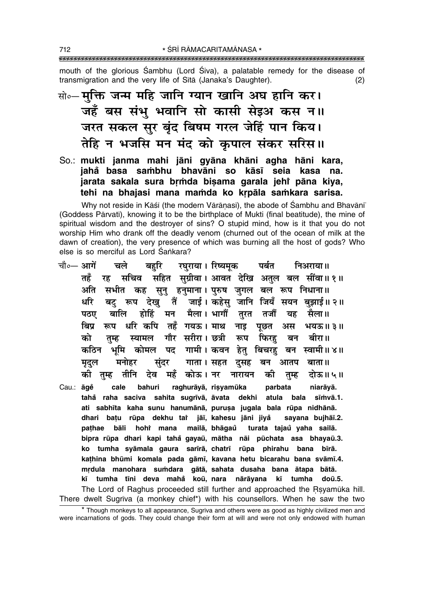mouth of the glorious Sambhu (Lord Siva), a palatable remedy for the disease of transmigration and the very life of Sītā (Janaka's Daughter).  $(2)$ 

सो०- मुक्ति जन्म महि जानि ग्यान खानि अघ हानि कर। जहँ बस संभु भवानि सो कासी सेइअ कस न॥ जरत सकल सुर बृंद बिषम गरल जेहिं पान किय। तेहि न भजसि मन मंद को कुपाल संकर सरिस॥

So.: mukti janma mahi jāni gyāna khāni agha hāni kara, jahå basa sambhu bhavāni so kāsī seia kasa na. jarata sakala sura brmda bisama garala jehi pāna kiya, tehi na bhajasi mana mamda ko krpāla samkara sarisa.

Why not reside in Kāśī (the modern Vārānasī), the abode of Śambhu and Bhavānī (Goddess Pārvatī), knowing it to be the birthplace of Mukti (final beatitude), the mine of spiritual wisdom and the destrover of sins? O stupid mind, how is it that you do not worship Him who drank off the deadly venom (churned out of the ocean of milk at the dawn of creation), the very presence of which was burning all the host of gods? Who else is so merciful as Lord Sankara?

|       | चौ∘— आगें चले बहुरि रघुराया। रिष्यमूक पर्बत निअराया॥                            |         |        |
|-------|---------------------------------------------------------------------------------|---------|--------|
|       | रह सचिव सहित सुग्रीवा। आवत देखि अतुल बल सींवा॥१॥<br>तहँ                         |         |        |
|       | सभीत कह सुनु हनुमाना। पुरुष जुगल बल रूप निधाना॥<br>अति                          |         |        |
|       | बटु रूप देखु तैं जाई। कहेसु जानि जियँ सयन बुझाई॥२॥<br>धरि                       |         |        |
|       | बालि होहिं मन मैला। भागौं तुरत तजौं यह सैला॥<br>पठए                             |         |        |
|       | रूप धरि कपि तहँ गयऊ। माथ नाइ<br>बिप्र                                           | पूछत अस | भयऊ॥३॥ |
|       | तुम्ह स्यामल गौर सरीरा।छत्री रूप फिरहु बन बीरा॥<br>को                           |         |        |
|       | ्भूमि कोमल पद गामी।।कवन हेतु बिचरहु बन स्वामी॥४॥<br>कठिन                        |         |        |
|       | मृदुल मनोहर सुंदर गाता। सहत दुसह बन आतप बाता॥                                   |         |        |
|       | की तुम्ह तीनि देव महँ कोऊ।नर नारायन की तुम्ह दोऊ॥५॥                             |         |        |
| Cau.: | āge cale bahuri raghurāyā, risyamūka parbata niarāyā.                           |         |        |
|       | tahå raha saciva sahita sugrīvā, āvata dekhi atula bala sīmvā.1.                |         |        |
|       | ati sabhīta kaha sunu hanumānā, puruṣa jugala bala rūpa nidhānā.                |         |        |
|       | dhari bațu rūpa dekhu tař jāī, kahesu jāni jiyå sayana bujhāī.2.                |         |        |
|       | pathae bāli hohr mana mailā, bhāgaŭ turata tajaŭ yaha sailā.                    |         |        |
|       | bipra rūpa dhari kapi tahå gayaū, mātha nāi pūchata asa bhayaū.3.               |         |        |
|       | ko tumha syāmala gaura sarīrā, chatrī rūpa phirahu bana bīrā.                   |         |        |
|       | kathina bhūmi komala pada gāmī, kavana hetu bicarahu bana svāmī.4.              |         |        |
|       | mrdula manohara sumdara gātā, sahata dusaha bana ātapa bātā.                    |         |        |
|       | kī tumha tīni deva mahå koū, nara nārāyana kī tumha doū.5.                      |         |        |
|       | The Lord of Raghus proceeded still further and approached the Rsyamuka hill.    |         |        |
|       | There dwelt Sugriva (a monkey chief*) with his counsellors. When he saw the two |         |        |

\* Though monkeys to all appearance, Sugriva and others were as good as highly civilized men and were incarnations of gods. They could change their form at will and were not only endowed with human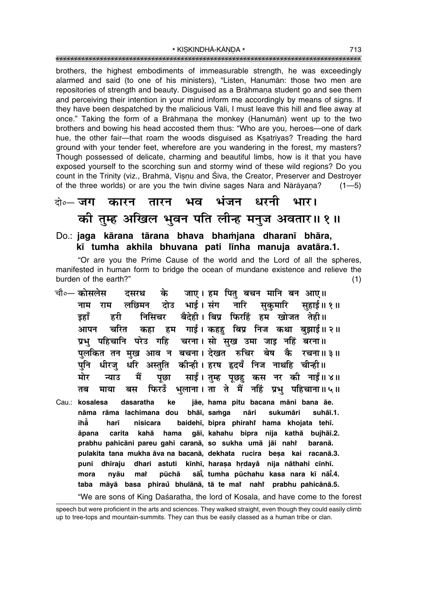brothers, the highest embodiments of immeasurable strength, he was exceedingly alarmed and said (to one of his ministers), "Listen, Hanuman: those two men are repositories of strength and beauty. Disquised as a Brāhmana student go and see them and perceiving their intention in your mind inform me accordingly by means of signs. If they have been despatched by the malicious Vali, I must leave this hill and flee away at once." Taking the form of a Brāhmana the monkey (Hanumān) went up to the two brothers and bowing his head accosted them thus: "Who are you, heroes—one of dark hue, the other fair-that roam the woods disguised as Ksatriyas? Treading the hard ground with your tender feet, wherefore are you wandering in the forest, my masters? Though possessed of delicate, charming and beautiful limbs, how is it that you have exposed yourself to the scorching sun and stormy wind of these wild regions? Do you count in the Trinity (viz., Brahmā, Visnu and Śiva, the Creator, Preserver and Destrover of the three worlds) or are you the twin divine sages Nara and Nārāyana?  $(1 - 5)$ 

### तारन भव भंजन धरनी तो∘— **जग** कारन भार। की तुम्ह अखिल भुवन पति लीन्ह मनुज अवतार॥१॥

Do.: jaga kārana tārana bhava bhamjana dharanī bhāra, kī tumha akhila bhuvana pati līnha manuja avatāra.1.

"Or are you the Prime Cause of the world and the Lord of all the spheres, manifested in human form to bridge the ocean of mundane existence and relieve the burden of the earth?"  $(1)$ 

- चौ०— कोसलेस जाए । हम पितु बचन मानि बन आए ॥ दसरथ के लछिमन दोउ भाई।संग नारि सकमारि सहाई॥१॥ नाम राम ड़हाँ निसिचर बैदेही। बिप्र फिरहिं हम खोजत तेही।। हरी हम गाई। कहहु बिप्र निज कथा बुझाई॥२॥ चरित आपन कहा प्रभु पहिचानि परेउ गहि चरना। सो सुख उमा जाइ नहिं बरना॥ पुलकित तन मुख आव न बचना। देखत रुचिर बेष कै रचना॥३॥ अस्तुति कीन्ही। हरष हृदयँ निज नाथहि चीन्ही॥ धीरज् धरि पनि साईं। तुम्ह पूछहु कस नर की नाईं॥४॥ मोर मैं न्याउ पूछा भलाना । ता ते मैं नहिं प्रभ पहिचाना॥५॥ फिरउँ तब माया बस
- jāe, hama pitu bacana māni bana āe. dasaratha ke Cau.: kosalesa nāma rāma lachimana dou bhāī, samga nāri sukumāri suhāī.1. ihă harī nisicara baidehī, bipra phirahi hama khojata tehī. carita kahā hama gāi, kahahu bipra nija kathā bujhāi.2. āpana prabhu pahicāni pareu gahi caranā, so sukha umā jāi nahī baranā. pulakita tana mukha āva na bacanā, dekhata rucira beșa kai racanā.3. puni dhīraju dhari astuti kīnhī, harasa hrdaya nija nāthahi cīnhī. mora nvāu mat pūchā sāi, tumha pūchahu kasa nara kī nāi.4. taba māyā basa phiraŭ bhulānā, tā te mar nahr prabhu pahicānā.5.

"We are sons of King Daśaratha, the lord of Kosala, and have come to the forest

speech but were proficient in the arts and sciences. They walked straight, even though they could easily climb up to tree-tops and mountain-summits. They can thus be easily classed as a human tribe or clan.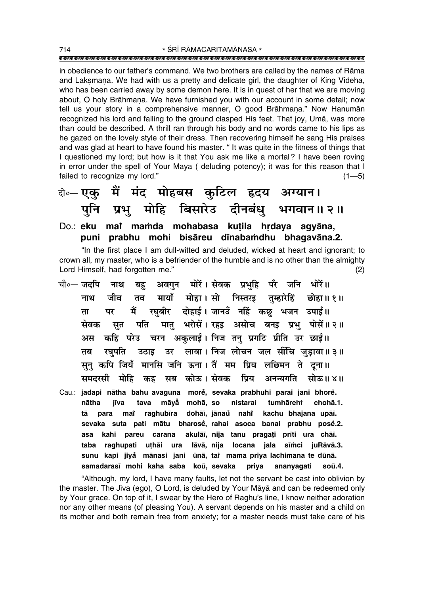in obedience to our fatherís command. We two brothers are called by the names of Råma and Laksmana. We had with us a pretty and delicate girl, the daughter of King Videha, who has been carried away by some demon here. It is in quest of her that we are moving about, O holy Brāhmana. We have furnished you with our account in some detail; now tell us your story in a comprehensive manner, O good Brāhmana." Now Hanumān recognized his lord and falling to the ground clasped His feet. That joy, Umå, was more than could be described. A thrill ran through his body and no words came to his lips as he gazed on the lovely style of their dress. Then recovering himself he sang His praises and was glad at heart to have found his master. "It was quite in the fitness of things that I questioned my lord; but how is it that You ask me like a mortal ? I have been roving in error under the spell of Your Måyå ( deluding potency); it was for this reason that I failed to recognize my lord."  $(1-5)$ 

दो∘– **एकु मैं मंद मोहबस कुटिल हृदय अग्यान।** पुनि प्रभु मोहि बिसारेउ दीनबंध् भगवान॥२॥

### Do.: <mark>eku mař maṁda mohabasa kuṭila hṛdaya agyāna,</mark> **puni prabhu mohi bisåreu d∂naba≈dhu bhagavåna.2.**

"In the first place I am dull-witted and deluded, wicked at heart and ignorant; to crown all, my master, who is a befriender of the humble and is no other than the almighty Lord Himself, had forgotten me.<sup>"</sup> (2)

- चौ०– जदपि नाथ बहु अवगुन मोरें।**सेवक प्रभुहि परै जनि भोरें॥** <u>नाथ जीव तव मायाँ मोहा।सो निस्तरइ तुम्हारेहिं छोहा॥१॥</u> ता पर मैं रघबीर दोहाई**। जानउँ नहिं कछ भजन उपाई**॥ सेवक सुत पति मातु भरोसें।**रहड़ असोच बनइ प्रभु पोसें॥२॥** अस कहि परेउ चरन अकुलाई। निज त<u>नु</u> प्रगटि प्रीति उर छाई॥ तब रघुपति उठाइ उर लावा। निज**लोचन जलसींचि जुड़ावा॥३॥** सूनु कपि जियँ मानसि जनि ऊना। तैं मम प्रिय लछिमन ते **दूना**॥ समदरसी मोहि कह सब कोऊ।**सेवक प्रिय अनन्यगति सोऊ॥४**॥
- Cau.: **jadapi nåtha bahu avaguna more°, sevaka prabhuhi parai jani bhore° . nåtha j∂va tava måyå° mohå, so nistarai tumhårehiÚ chohå.1. tå para maiÚ raghub∂ra dohå∂, jånau nahi ° Ú kachu bhajana upå∂. sevaka suta pati måtu bharose°, rahai asoca banai prabhu pose°.2. asa kahi pareu carana akulå∂, nija tanu praga¢i pr∂ti ura chå∂. taba raghupati u¢håi ura låvå, nija locana jala s∂≈ci juRåvå.3. sunu kapi jiya° månasi jani µunå, taiÚ mama priya lachimana te dµunå.** samadarasī mohi kaha saba koū, sevaka priya ananyagati soū.4.

"Although, my lord, I have many faults, let not the servant be cast into oblivion by the master. The J∂va (ego), O Lord, is deluded by Your Måyå and can be redeemed only by Your grace. On top of it, I swear by the Hero of Raghu's line, I know neither adoration nor any other means (of pleasing You). A servant depends on his master and a child on its mother and both remain free from anxiety; for a master needs must take care of his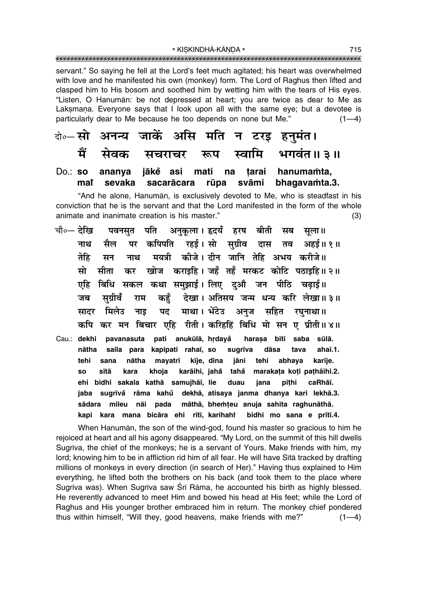servant." So saying he fell at the Lord's feet much agitated; his heart was overwhelmed with love and he manifested his own (monkey) form. The Lord of Raghus then lifted and clasped him to His bosom and soothed him by wetting him with the tears of His eves. "Listen, O Hanumān: be not depressed at heart; you are twice as dear to Me as Laksmana. Everyone says that I look upon all with the same eye; but a devotee is particularly dear to Me because he too depends on none but Me."  $(1-4)$ 

के—सो अनन्य जाकें असि मति न टरइ हनुमंत। ਸੈਂ भगवंत॥ ३॥ सेवक स्वामि सचराचर रूप Do.: so ananya jākĕ asi mati na hanumamta, tarai mar sevaka sacarācara rūpa svāmi bhagavamta.3.

"And he alone, Hanuman, is exclusively devoted to Me, who is steadfast in his conviction that he is the servant and that the Lord manifested in the form of the whole animate and inanimate creation is his master."  $(3)$ 

पवनसृत पति अनुकृला।इदयँ हरष बीती सब चौ०— देखि सला॥ कपिपति रहई।सो सुग्रीव दास तव अहई॥१॥ नाथ मैल पर मयत्री कीजे। दीन जानि तेहि अभय करीजे ।। तेहि मन नाथ खोज कराइहि। जहँ तहँ मरकट कोटि पठाइहि॥२॥ मो सीता कर बिधि सकल कथा समुझाई। लिए दुऔ जन पीठि चढ़ाई॥ एहि देखा। अतिसय जन्म धन्य करि लेखा॥३॥ सुग्रीवँ कहँ जब राम माथा। भेंटेउ अनुज सहित रघुनाथा॥ मिलेउ नाड पद सादर कपि कर मन बिचार एहि रीती। करिहहिं बिधि मो सन ए प्रीती॥४॥ Cau.: dekhi pavanasuta pati anukūlā, hrdayå harașa bītī saba sūlā. saila para kapipati rahai, so nātha sugrīva dāsa tava  $ahai.1.$ tehi nātha mayatrī kīje, dīna jāni tehi abhaya karīje. sana  $SO<sub>2</sub>$ sītā kara khoja karāihi, jahå tahå marakata koti pathāihi.2. ehi bidhi sakala kathā samujhāī, lie duau jana pīthi caRhāī. jaba sugrīvå rāma kahů dekhā, atisaya janma dhanya kari lekhā.3. pada māthā, bhemteu anuja sahita raghunāthā. sādara mileu nāi kapi kara mana bicāra ehi rītī, karihahi bidhi mo sana e prītī.4.

When Hanuman, the son of the wind-god, found his master so gracious to him he rejoiced at heart and all his agony disappeared. "My Lord, on the summit of this hill dwells Sugrīva, the chief of the monkeys; he is a servant of Yours. Make friends with him, my lord; knowing him to be in affliction rid him of all fear. He will have Sita tracked by drafting millions of monkeys in every direction (in search of Her)." Having thus explained to Him everything, he lifted both the brothers on his back (and took them to the place where Sugrīva was). When Sugrīva saw Śrī Rāma, he accounted his birth as highly blessed. He reverently advanced to meet Him and bowed his head at His feet; while the Lord of Raghus and His younger brother embraced him in return. The monkey chief pondered thus within himself, "Will they, good heavens, make friends with me?"  $(1-4)$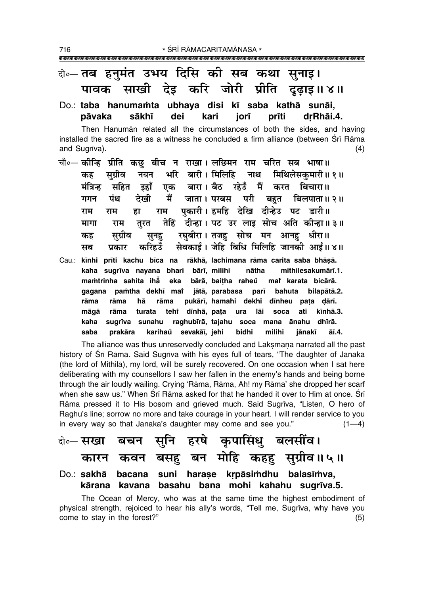### केन्ट तब हनमंत उभय दिसि की सब कथा सनाड़।

साखी देइ करि जोरी प्रीति पावक दढाइ॥ ४॥ Do.: taba hanumamta ubhava disi kī saba kathā sunāi.

#### pāvaka sākhī dei kari iorī prīti drRhāi.4.

Then Hanuman related all the circumstances of both the sides, and having installed the sacred fire as a witness he concluded a firm alliance (between Srī Rāma and Sugrīva).  $(4)$ 

- चौ∘— कीन्हि प्रीति कछु बीच न राखा। लछिमन राम चरित सब भाषा॥ भरि बारी। मिलिहि नयन नाथ मिथिलेसकमारी ॥ १ ॥ सग्रीव कह मंत्रिन्ह एक बारा। बैठ रहेउँ मैं करत बिचारा॥ सहित डहाँ जाता । परबस परी मैं देखी बहत बिलपाता॥ २॥ गगन पंथ पकारी। हमहि देखि दीन्हेउ पट डारी।। राम राम हा राम तेहिं दीन्हा। पट उर लाइ सोच अति कीन्हा॥३॥ मागा तरत राम रघुबीरा। तजह सोच मन आनह धीरा॥ सग्रीव कह सनह सेवकाई। जेहि बिधि मिलिहि जानकी आई॥४॥ सब प्रकार करिहउँ
- Cau.: kīnhi prīti kachu bīca na rākhā, lachimana rāma carita saba bhāṣā. kaha sugrīva nayana bhari bārī, milihi nātha mithilesakumārī.1. mamtrinha sahita iha eka bārā, baitha raheů mat karata bicārā. gagana pamtha dekhī mat jātā, parabasa parī bahuta bilapātā.2. pukārī, hamahi dekhi dīnheu pata dārī. rāma rāma hā rāma tehi dīnhā, pata rāma turata ati kīnhā.3. māgā ura lāi soca sugrīva sunahu raghubīrā, tajahu soca mana ānahu dhīrā. kaha karihaů sevakāī, jehi saba prakāra bidhi milihi jānakī āī.4.

The alliance was thus unreservedly concluded and Laksmana narrated all the past history of Śrī Rāma. Said Sugrīva with his eyes full of tears, "The daughter of Janaka (the lord of Mithila), my lord, will be surely recovered. On one occasion when I sat here deliberating with my counsellors I saw her fallen in the enemy's hands and being borne through the air loudly wailing. Crying 'Rāma, Rāma, Ah! my Rāma' she dropped her scarf when she saw us." When Sri Rama asked for that he handed it over to Him at once. Sri Rāma pressed it to His bosom and grieved much. Said Sugrīva, "Listen, O hero of Raghu's line; sorrow no more and take courage in your heart. I will render service to you in every way so that Janaka's daughter may come and see you."  $(1-4)$ 

The Ocean of Mercy, who was at the same time the highest embodiment of physical strength, rejoiced to hear his ally's words, "Tell me, Sugriva, why have you come to stay in the forest?"  $(5)$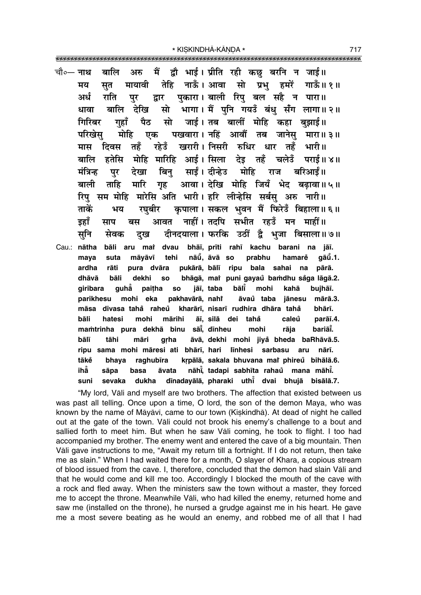चौ∘— **नाथ** बालि मैं ्द्रौ भाई । प्रीति रही कछ बरनि न जाई॥ अरु तेहि नाऊँ । आवा गाऊँ॥ १॥ मायावी सो प्रभ हमरें मय सत पकारा। बाली रिप बल सहै न पारा॥ अर्ध राति द्वार पर देखि भागा। मैं पनि गयउँ बंध सँग लागा॥२॥ बालि सो धावा ਧੈਠ गिरिबर जाई। तब बालीं मोहि कहा बुझाई॥ गहाँ सो मोहि पखवारा। नहिं आवौं तब जानेस मारा॥३॥ परिखेस एक खरारी। निसरी रुधिर धार तहँ तहँ रहेउँ भारी ॥ मास दिवस हतेसि मोहि मारिहि आई। सिला देइ तहँ बालि चलेउँ पराई॥ ४॥ मंत्रिन्ह देखा बिन साईं। दीन्हेउ मोहि बरिआर्ड ॥ पर राज बाली ताहि गृह आवा। देखि मोहि जियँ भेद बढावा॥५॥ मारि रिप सम मोहि मारेसि अति भारी। हरि लीन्हेसि सर्बस अरु नारी॥ कपाला। सकल भवन मैं फिरेडँ बिहाला॥६॥ ताकें भय रघबीर नाहीं। तदपि सभीत रहउँ मन माहीं॥ इहाँ आवत बस साप दीनदयाला। फरकि उठीं द्वै भूजा बिसाला॥७॥ सनि सेवक दख Cau.: nātha bāli aru mai dvau bhāi, prīti rahī kachu barani na jāī. suta māvāvī tehi nāū, āvā so prabhu  $q\bar{a}\mathring{u}$ .1. maya hamare ardha rāti pukārā, bālī ripu bala sahai pura dvāra na pārā. bhāgā, mai puni gayaů bamdhu sắga lāgā.2. dhāvā bāli dekhi **SO** bālī giribara guhǎ paitha **SO** jāī, taba mohi kahā bujhāī. pakhavārā, nahř parikhesu mohi eka āvaŭ taba mārā.3. jānesu māsa divasa tahå raheů kharārī, nisarī rudhira dhāra tahå bhārī. mohi bāli hatesi mārihi āī, silā dei tahå caleů parāī.4. mamtrinha pura dekhā binu sāi, dīnheu bariāĭ. mohi rāia bālī tāhi māri āvā, dekhi mohi jiyå bheda baRhāvā.5. grha ripu sama mohi māresi ati bhārī, hari līnhesi sarbasu nārī. aru tākě bhaya raghubīra krpālā, sakala bhuvana mai phireů bihālā.6. ihẳ nāhi, tadapi sabhīta rahaŭ mana māhi. sāpa āvata basa dīnadayālā, pharaki uthī dvai bhujā bisālā.7. suni sevaka dukha

"My lord, Vali and myself are two brothers. The affection that existed between us was past all telling. Once upon a time, O lord, the son of the demon Maya, who was known by the name of Māyāvī, came to our town (Kiskindhā). At dead of night he called out at the gate of the town. Vali could not brook his enemy's challenge to a bout and sallied forth to meet him. But when he saw Vali coming, he took to flight. I too had accompanied my brother. The enemy went and entered the cave of a big mountain. Then Vali gave instructions to me, "Await my return till a fortnight. If I do not return, then take me as slain." When I had waited there for a month, O slayer of Khara, a copious stream of blood issued from the cave. I, therefore, concluded that the demon had slain Vali and that he would come and kill me too. Accordingly I blocked the mouth of the cave with a rock and fled away. When the ministers saw the town without a master, they forced me to accept the throne. Meanwhile Vali, who had killed the enemy, returned home and saw me (installed on the throne), he nursed a grudge against me in his heart. He gave me a most severe beating as he would an enemy, and robbed me of all that I had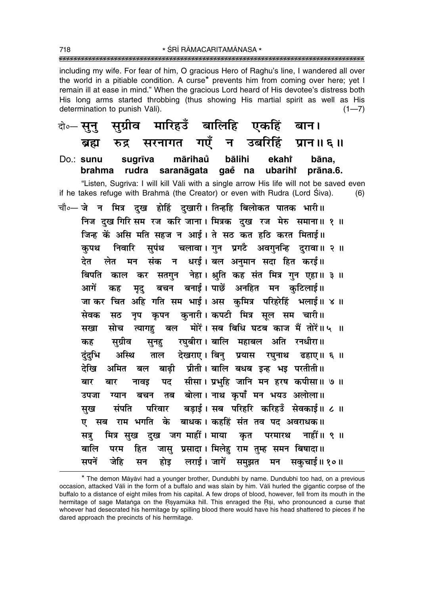\* ŚRĪ RĀMACARITAMĀNASA \* 

including my wife. For fear of him, O gracious Hero of Raghu's line, I wandered all over the world in a pitiable condition. A curse<sup>\*</sup> prevents him from coming over here; yet I remain ill at ease in mind." When the gracious Lord heard of His devotee's distress both His long arms started throbbing (thus showing His martial spirit as well as His determination to punish Vāli).  $(1 - 7)$ 

मारिहउँ बालिहि एकहिं सग्रीव दो**०— सन** बान। सरनागत गएँ न उबरिहिं प्रान॥६॥ ब्रह्म रुद्र mārihaů bālihi  $Do:$  sunu suarīva ekahi bāna. brahma rudra saranāgata gaĕ na ubarihi prāna.6.

"Listen, Sugrīva: I will kill Vāli with a single arrow His life will not be saved even if he takes refuge with Brahma (the Creator) or even with Rudra (Lord Śiva).  $(6)$ 

चौ०— जेतन मित्र दुख होहिं दुखारी। तिन्हहि बिलोकत पातक भारी॥ निज दुख गिरि सम रज करि जाना। मित्रक दुख रज मेरु समाना॥ १ ॥ जिन्ह कें असि मति सहज न आई। ते सठ कत हठि करत मिताई।। सुपंथ चलावा। गुन प्रगटै अवगुनन्हि दुरावा॥ २ ॥ कपथ निवारि न धरई। बल अनुमान सदा हित करई॥ देत लेत संक मन बिपति काल कर सतगुन नेहा। श्रुति कह संत मित्र गुन एहा॥ ३ ॥ बचन बनाई। पाछें अनहित मन कुटिलाई॥ आगें कह मुद् जा कर चित अहि गति सम भाई। अस कुमित्र परिहरेहिं भलाई॥ ४॥ कृपन कुनारी। कपटी मित्र सूल सम चारी॥ सेवक नुप सठ मोरें। सब बिधि घटब काज मैं तोरें॥५ ॥ त्यागह बल सोच सखा रघबीरा। बालि महाबल अति रनधीरा॥ कह सुग्रीव सूनह देखराए। बिन् प्रयास रघनाथ अस्थि ढहाए।। ६ ॥ दंदभि ताल बाढ़ी प्रीती। बालि बधब इन्ह भड़ परतीती॥ देखि अमित बल पद सीसा। प्रभहि जानि मन हरष कपीसा॥ ७ ॥ बार नावड बार तब बोला। नाथ कपाँ मन भयउ अलोला॥ उपजा ग्यान बचन बडाई। सब परिहरि करिहउँ सेवकाई॥ ८ ॥ सुख संपति परिवार ए सब राम भगति के बाधक। कहहिं संत तव पद अवराधक॥ मित्र सुख दुख जग माहीं। माया नाहीं ॥  $\,$ ९ ॥ सत्र कृत परमारथ जास प्रसादा। मिलेह राम तम्ह समन बिषादा॥ बालि परम हित लराई। जागें समुझत सपनें जेहि होड मन सकचाई॥ १०॥ सन

<sup>\*</sup> The demon Māyāvī had a younger brother, Dundubhi by name. Dundubhi too had, on a previous occasion, attacked Vali in the form of a buffalo and was slain by him. Vali hurled the gigantic corpse of the buffalo to a distance of eight miles from his capital. A few drops of blood, however, fell from its mouth in the hermitage of sage Matanga on the Rsyamūka hill. This enraged the Rsi, who pronounced a curse that whoever had desecrated his hermitage by spilling blood there would have his head shattered to pieces if he dared approach the precincts of his hermitage.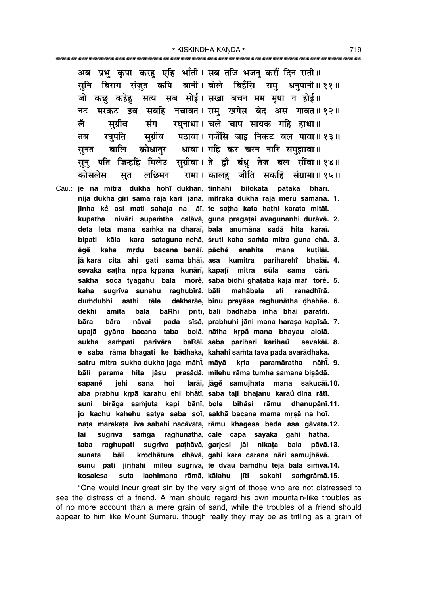अब प्रभ कपा करह एहि भाँती। सब तजि भजन करौं दिन राती॥ सनि बिराग संजत कपि बानी।बोले बिहँसि राम धनपानी॥११॥ जो कछ कहेह सत्य सब सोई। सखा बचन मम मषा न होई॥ मरकट इव सबहि नचावत। राम खगेस बेद अस गावत॥ १२॥ नट रघुनाथा। चले चाप सायक गहि हाथा॥ लै सग्रीव संग सुग्रीव पठावा। गर्जेसि जाइ निकट बल पावा॥१३॥ रघपति तब बालि क्रोधातर धावा । गहि कर चरन नारि समझावा ॥ सनत सुनु पति जिन्हहि मिलेउ सुग्रीवा।ते द्वौ बंधु तेज बल सींवा॥१४॥ रामा। कालह जीति सकहिं संग्रामा॥१५॥ कोसलेस सत लछिमन Cau.: je na mitra dukha hohi dukhārī, tinhahi bilokata pātaka bhārī. nija dukha giri sama raja kari jānā, mitraka dukha raja meru samānā. 1. jinha kë asi mati sahaja na āī, te satha kata hathi karata mitāī. kupatha nivāri supamtha calāvā, guna pragatai avagunanhi durāvā. 2. deta leta mana samka na dharai, bala anumāna sadā hita karai. bipati kāla kara sataguna nehā, śruti kaha samta mitra guna ehā. 3. mrdu bacana banāī, pāchě āaě kaha anahita mana kutilāī. jā kara cita ahi gati sama bhāi, asa kumitra pariharehi bhalāi. 4. sevaka satha nrpa krpana kunārī, kapatī mitra sūla sama cārī. sakhā soca tyāgahu bala more, saba bidhi ghataba kāja mar tore. 5. ranadhīrā. sugrīva sunahu raghubīrā, bāli mahābala kaha ati dekharāe, binu prayāsa raghunātha dhahāe. 6. dumdubhi asthi tāla dekhi amita bala bāRhī prītī, bāli badhaba inha bhai paratītī. bāra pada sīsā, prabhuhi jāni mana harasa kapīsā. 7. bāra nāvai upajā gyāna bacana taba bolā, nātha krpā mana bhayau alolā. sukha sampati parivāra baRāī, saba parihari karihaŭ sevakāī. 8. e saba rāma bhagati ke bādhaka, kahahi samta tava pada avarādhaka. satru mitra sukha dukha jaga māhī, māyā krta paramāratha nāhī. 9. bāli parama hita jāsu prasādā, milehu rāma tumha samana bisādā. larāi, jāgė samujhata mana sakucāi.10. sapaně jehi sana hoi aba prabhu krpā karahu ehi bhātī, saba taji bhajanu karaŭ dina rātī. birāga samjuta kapi bānī, bole bihåsi dhanupānī.11. suni rāmu jo kachu kahehu satya saba soi, sakhā bacana mama mrsā na hoi. nata marakata iva sabahi nacāvata, rāmu khagesa beda asa gāvata.12. lai sugrīva samga raghunāthā, cale cāpa sāyaka gahi hāthā. raghupati sugrīva pathāvā, garjesi jāi nikata bala pāvā.13. taba krodhātura dhāvā, gahi kara carana nāri samujhāvā. bāli sunata sunu pati jinhahi mileu sugrīvā, te dvau bamdhu teja bala sīmvā.14. suta lachimana rāmā, kālahu kosalesa jīti sakahr saṁqrāmā.15.

"One would incur great sin by the very sight of those who are not distressed to see the distress of a friend. A man should regard his own mountain-like troubles as of no more account than a mere grain of sand, while the troubles of a friend should appear to him like Mount Sumeru, though really they may be as trifling as a grain of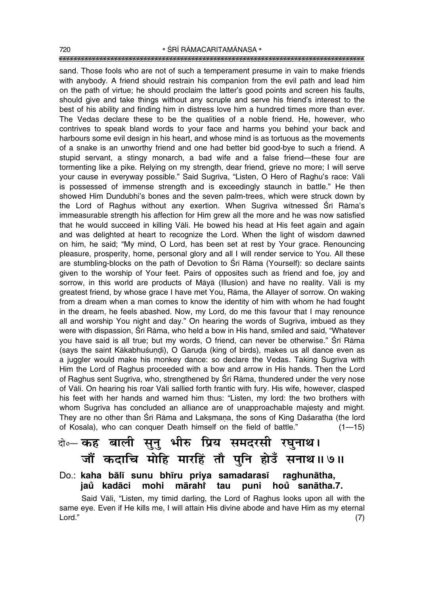### """"""""""""""""""""""""""""""""""""""""""""""""""""""""""""""""""""""""""""""""""" 720 **\*** SRĪ RĀMACARITAMĀNASA \*

sand. Those fools who are not of such a temperament presume in vain to make friends with anybody. A friend should restrain his companion from the evil path and lead him on the path of virtue; he should proclaim the latterís good points and screen his faults, should give and take things without any scruple and serve his friend's interest to the best of his ability and finding him in distress love him a hundred times more than ever. The Vedas declare these to be the qualities of a noble friend. He, however, who contrives to speak bland words to your face and harms you behind your back and harbours some evil design in his heart, and whose mind is as tortuous as the movements of a snake is an unworthy friend and one had better bid good-bye to such a friend. A stupid servant, a stingy monarch, a bad wife and a false friend—these four are tormenting like a pike. Relying on my strength, dear friend, grieve no more; I will serve your cause in everyway possible." Said Sugrīva, "Listen, O Hero of Raghu's race: Vāli is possessed of immense strength and is exceedingly staunch in battle." He then showed Him Dundubhiís bones and the seven palm-trees, which were struck down by the Lord of Raghus without any exertion. When Sugrīva witnessed Śrī Rāma's immeasurable strength his affection for Him grew all the more and he was now satisfied that he would succeed in killing Våli. He bowed his head at His feet again and again and was delighted at heart to recognize the Lord. When the light of wisdom dawned on him, he said; "My mind, O Lord, has been set at rest by Your grace. Renouncing pleasure, prosperity, home, personal glory and all I will render service to You. All these are stumbling-blocks on the path of Devotion to Śrī Rāma (Yourself): so declare saints given to the worship of Your feet. Pairs of opposites such as friend and foe, joy and sorrow, in this world are products of Måyå (Illusion) and have no reality. Våli is my greatest friend, by whose grace I have met You, Råma, the Allayer of sorrow. On waking from a dream when a man comes to know the identity of him with whom he had fought in the dream, he feels abashed. Now, my Lord, do me this favour that I may renounce all and worship You night and day." On hearing the words of Sugrīva, imbued as they were with dispassion, Srī Rāma, who held a bow in His hand, smiled and said, "Whatever you have said is all true; but my words, O friend, can never be otherwise." Śrī Rāma (says the saint Kākabhuśundi), O Garuḍa (king of birds), makes us all dance even as a juggler would make his monkey dance: so declare the Vedas. Taking Sugrīva with Him the Lord of Raghus proceeded with a bow and arrow in His hands. Then the Lord of Raghus sent Sugrīva, who, strengthened by Śrī Rāma, thundered under the very nose of Våli. On hearing his roar Våli sallied forth frantic with fury. His wife, however, clasped his feet with her hands and warned him thus: "Listen, my lord: the two brothers with whom Sugrīva has concluded an alliance are of unapproachable majesty and might. They are no other than Śrī Rāma and Laksmana, the sons of King Daśaratha (the lord of Kosala), who can conquer Death himself on the field of battle.<sup>"</sup>  $(1-15)$ 

## दो**०– कह बाली सुनु भीरु प्रिय समदरसी रघुनाथ।** जौं कदाचि मोहि मारहिं तौ पुनि होउँ सनाथ॥७॥

### Do.: **kaha bål∂ sunu bh∂ru priya samadaras∂ raghunåtha, jaů kadāci mohi mārahi tau tau puni hou sanåtha.7. °**

Said Vāli, "Listen, my timid darling, the Lord of Raghus looks upon all with the same eye. Even if He kills me, I will attain His divine abode and have Him as my eternal  $\mathsf{Lord."} \tag{7}$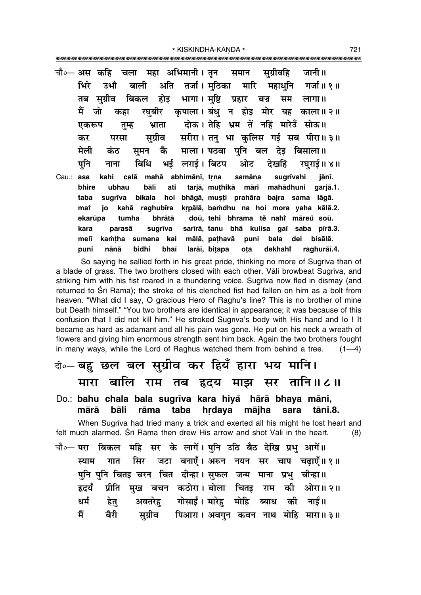|       |                | titlettillettillettillettillettillettillettillettillettillettillettillettillettillettillettillettillettillettil |
|-------|----------------|-----------------------------------------------------------------------------------------------------------------|
|       |                | चौ∘— अस कहि चला महा अभिमानी। तृन  समान  सुग्रीवहि  जानी॥                                                        |
|       |                | भिरे उभौ बाली अति तर्जा।मुठिका मारि महाधुनि गर्जा॥१॥                                                            |
|       |                | तब सुग्रीव बिकल होइ भागा।मुष्टि प्रहार बज्र सम लागा॥                                                            |
|       |                | मैं जो कहा रघुबीर कृपाला।बंधु न होइ मोर यह काला॥२॥                                                              |
|       |                | एकरूप तुम्ह भ्राता दोऊ।तेहि भ्रम तें नहिं मारेउँ सोऊ॥                                                           |
|       | कर             | परसा सुग्रीव सरीरा।तनु भा कुलिस गई सब पीरा॥३॥                                                                   |
|       |                | मेली कंठ स़मन कै माला। पठवा पुनि बल देइ बिसाला॥                                                                 |
|       |                | पुनि नाना बिधि भई लराई।विटप ओट देखहिं रघुराई॥४॥                                                                 |
| Cau.: | asa            | kahi calā mahā abhimānī, trna samāna sugrīvahi jānī.                                                            |
|       | bhire<br>ubhau | bālī ati tarjā, muthikā māri mahādhuni garjā.1.                                                                 |
|       | taba           | sugrīva bikala hoi bhāgā, muṣṭi prahāra bajra sama lāgā.                                                        |
|       | mar            | jo kahā raghubīra krpālā, bamdhu na hoi mora yaha kālā.2.                                                       |
|       |                | ekarūpa tumha bhrātā doū, tehi bhrama tě nahř māreů soū.                                                        |
|       | kara           | parasā sugrīva sarīrā, tanu bhā kulisa gaī saba pīrā.3.                                                         |
|       | melī           | kamțha sumana kai mālā, pațhavā puni bala dei bisālā.                                                           |
|       | puni           | nānā bidhi bhaī larāī, bitapa ota dekhahi raghurāī.4.                                                           |

So saying he sallied forth in his great pride, thinking no more of Sugriva than of a blade of grass. The two brothers closed with each other. Vali browbeat Sugriva, and striking him with his fist roared in a thundering voice. Sugriva now fled in dismay (and returned to Sri Rama); the stroke of his clenched fist had fallen on him as a bolt from heaven. "What did I say, O gracious Hero of Raghu's line? This is no brother of mine but Death himself." "You two brothers are identical in appearance; it was because of this confusion that I did not kill him." He stroked Sugriva's body with His hand and lo! It became as hard as adamant and all his pain was gone. He put on his neck a wreath of flowers and giving him enormous strength sent him back. Again the two brothers fought in many ways, while the Lord of Raghus watched them from behind a tree.  $(1-4)$ 

# वे⊶ बहु छल बल सुग्रीव कर हियँ हारा भय मानि। मारा बालि राम तब हृदय माझ सर तानि॥८॥

Do.: bahu chala bala sugrīva kara hiya hārā bhaya māni, bāli rāma taba hrdava mājha sara mārā tāni.8.

When Sugriva had tried many a trick and exerted all his might he lost heart and felt much alarmed. Śrī Rāma then drew His arrow and shot Vāli in the heart.  $(8)$ 

चौ० परा बिकल महि सर के लागें। पुनि उठि बैठ देखि प्रभु आगें॥ गात सिर जटा बनाएँ। अरुन नयन सर चाप चढ़ाएँ॥१॥ स्याम पुनि पुनि चितइ चरन चित दीन्हा। सुफल जन्म माना प्रभु चीन्हा॥ प्रीति मख बचन कठोरा। बोला चितड़ राम की ओरा॥२॥ हृदयँ अवतरेहु गोसाईं। मारेहु मोहि ब्याध की नाईं॥ धर्म हेत् सुग्रीव पिआरा । अवगुन कवन नाथ मोहि मारा ॥ ३ ॥ मैं बैरी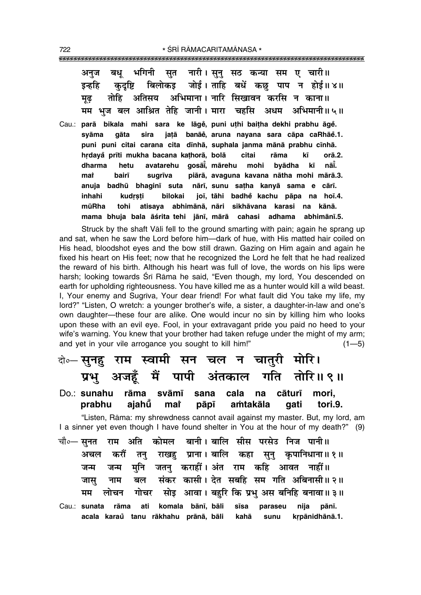|  |  |  | अनुज बधू भगिनी सुत नारी।सुनु सठ कन्या सम ए चारी॥      |
|--|--|--|-------------------------------------------------------|
|  |  |  | इन्हहि कुदृष्टि बिलोकइ जोई।ताहि बधें कछु पाप न होई॥४॥ |
|  |  |  | मृढ तोहि अतिसय अभिमाना। नारि सिखावन करसि न काना॥      |
|  |  |  | मम भूज बल आश्रित तेहि जानी। मारा चहसि अधम अभिमानी॥५॥  |

Cau.: **parå bikala mahi sara ke låge°, puni u¢hi bai¢ha dekhi prabhu åge°. syåma gåta sira ja¢å banåe°, aruna nayana sara cåpa caRhåe°.1. puni puni citai carana cita d∂nhå, suphala janma månå prabhu c∂nhå. hædaya° pr∂ti mukha bacana ka¢horå, bolå citai råma k∂ orå.2. dharma hetu avatarehu goså∂° , mårehu mohi byådha k∂ nå∂° . ma** $\dot{\mathbf{r}}$  **bair∂ sugr∂va piårå, avaguna kavana nåtha mohi mårå.3. anuja badhµu bhagin∂ suta når∂, sunu sa¢ha kanyå sama e cår∂. inhahi kudrsti bilokai joī, tāhi badhĕ kachu pāpa na hoī.4. mµuRha tohi atisaya abhimånå, nåri sikhåvana karasi na kånå.** mama bhuja bala āśrita tehi jānī, mārā cahasi adhama abhimānī.5.

Struck by the shaft Våli fell to the ground smarting with pain; again he sprang up and sat, when he saw the Lord before him-dark of hue, with His matted hair coiled on His head, bloodshot eyes and the bow still drawn. Gazing on Him again and again he fixed his heart on His feet; now that he recognized the Lord he felt that he had realized the reward of his birth. Although his heart was full of love, the words on his lips were harsh; looking towards Śrī Rāma he said, "Even though, my lord, You descended on earth for upholding righteousness. You have killed me as a hunter would kill a wild beast. I, Your enemy and Sugr∂va, Your dear friend! For what fault did You take my life, my lord?" "Listen, O wretch: a younger brother's wife, a sister, a daughter-in-law and one's own daughter-these four are alike. One would incur no sin by killing him who looks upon these with an evil eye. Fool, in your extravagant pride you paid no heed to your wife's warning. You knew that your brother had taken refuge under the might of my arm; and yet in your vile arrogance you sought to kill him!"  $(1-5)$ 

# दो**०– सुनहु राम स्वामी सन चल न चातुरी मोरि।** प्रभु अजहँ मैं पापी अंतकाल गति तोरि॥९॥

### Do.: **sunahu råma svåm∂ sana cala na cåtur∂ mori, prabhu ajahµu° ma** $\mathbf{\hat{i}}$  **påp∂ a≈takåla gati tori.9.**

ìListen, Råma: my shrewdness cannot avail against my master. But, my lord, am I a sinner yet even though I have found shelter in You at the hour of my death?" (9)

**चौ०— सनत राम अति कोमल बानी । बालि सीस परसेउ निज पानी ॥** <u>अचल करौं तन राखह प्राना। बालि कहा सुनु</u> कुपानिधाना॥१॥ जन्म जन्म मनि जतन कराहीं।**अंत राम कहि आवत नाहीं**॥ जास नाम बल संकर कासी।**देत सबहि सम गति अबिनासी॥२॥ मम लोचन गोचर सोइ आवा। बहुरि कि प्रभु अस** बनिहि बनावा॥३॥ Cau.: **sunata råma ati komala bån∂, båli s∂sa paraseu nija pån∂.**

**acala karau tanu råkhahu ° prånå, båli kahå sunu kæpånidhånå.1.**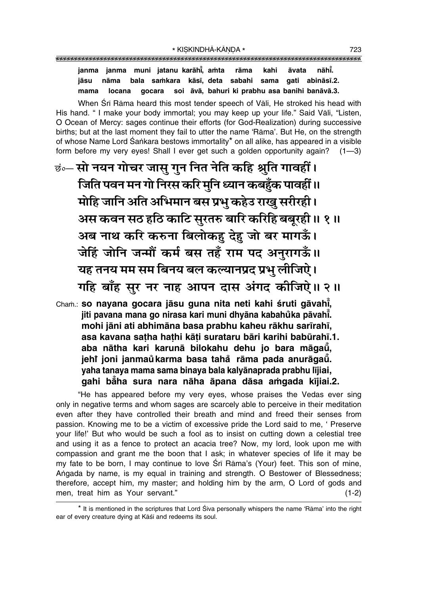janma janma muni jatanu karāhi, amta āvata nāhī. rāma kahi bala samkara kāsī, deta sabahi sama gati abināsī.2. jāsu nāma soi āvā, bahuri ki prabhu asa banihi banāvā.3. mama qocara locana

When Srī Rāma heard this most tender speech of Vāli. He stroked his head with His hand. " I make your body immortal; you may keep up your life." Said Vāli, "Listen, O Ocean of Mercy: sages continue their efforts (for God-Realization) during successive births; but at the last moment they fail to utter the name 'Rama'. But He, on the strength of whose Name Lord Śankara bestows immortality\* on all alike, has appeared in a visible form before my very eyes! Shall I ever get such a golden opportunity again?  $(1 - 3)$ 

छं॰- सो नयन गोचर जासु गुन नित नेति कहि श्रुति गावहीं। जिति पवन मन गो निरस करि मुनि ध्यान कबहुँक पावहीं ॥ मोहि जानि अति अभिमान बस प्रभु कहेउ राखु सरीरही। अस कवन सठ हठि काटि सुरतरु बारि करिहि बबूरही॥ १॥ अब नाथ करि करुना बिलोकहु देहु जो बर मागऊँ। जेहिं जोनि जन्मौं कर्म बस तहँ राम पद अनुरागऊँ॥ यह तनय मम सम बिनय बल कल्यानप्रद प्रभु लीजिऐ। गहि बाँह सुर नर नाह आपन दास अंगद कीजिऐ॥ २॥

Cham.: so navana gocara jāsu guna nita neti kahi śruti gāvahi, jiti pavana mana go nirasa kari muni dhyāna kabahůka pāvahī. mohi jāni ati abhimāna basa prabhu kaheu rākhu sarīrahī, asa kavana satha hathi kāti surataru bāri karihi babūrahī.1. aba nātha kari karunā bilokahu dehu jo bara māgaū, jehi joni janmaŭ karma basa tahå rāma pada anurāgaū. yaha tanaya mama sama binaya bala kalyānaprada prabhu lījiai, gahi bāha sura nara nāha āpana dāsa amgada kījiai.2.

"He has appeared before my very eyes, whose praises the Vedas ever sing only in negative terms and whom sages are scarcely able to perceive in their meditation even after they have controlled their breath and mind and freed their senses from passion. Knowing me to be a victim of excessive pride the Lord said to me, ' Preserve your life!' But who would be such a fool as to insist on cutting down a celestial tree and using it as a fence to protect an acacia tree? Now, my lord, look upon me with compassion and grant me the boon that I ask; in whatever species of life it may be my fate to be born, I may continue to love Srī Rāma's (Your) feet. This son of mine, Angada by name, is my equal in training and strength. O Bestower of Blessedness; therefore, accept him, my master; and holding him by the arm, O Lord of gods and men, treat him as Your servant."  $(1-2)$ 

<sup>\*</sup> It is mentioned in the scriptures that Lord Śiva personally whispers the name 'Rāma' into the right ear of every creature dying at Kāśī and redeems its soul.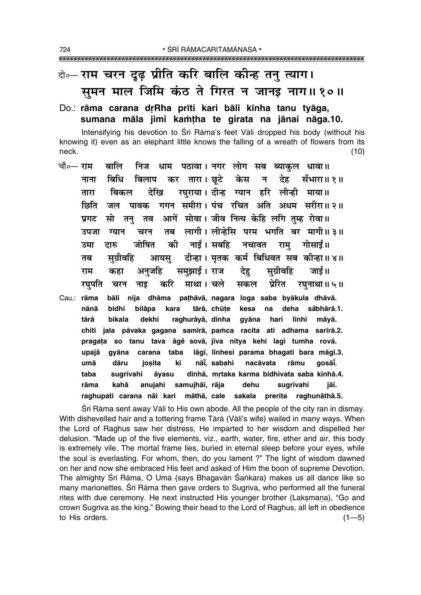## वे-राम चरन दूढ़ प्रीति करि बालि कीन्ह तनु त्याग। सुमन माल जिमि कंठ ते गिरत न जानइ नाग॥१०॥

### Do.: rāma carana drRha prīti kari bāli kīnha tanu tyāga, sumana māla jimi kamtha te girata na jānai nāga.10.

Intensifying his devotion to Srī Rāma's feet Vāli dropped his body (without his knowing it) even as an elephant little knows the falling of a wreath of flowers from its neck.  $(10)$ 

- चौ०— राम धाम पठावा। नगर लोग सब ब्याकुल धावा॥ बालि निज बिलाप कर तारा। छटे केस बिधि न देह सँभारा॥ १॥ नाना रघुराया। दीन्ह ग्यान हरि लीन्ही माया॥ देखि बिकल तारा गगन समीरा। पंच रचित अति अधम सरीरा॥ २॥ छिति जल पावक आगें सोवा। जीव नित्य केहि लगि तम्ह रोवा॥ प्रगट सो तन तव लागी। लीन्हेसि परम भगति बर मागी॥३॥ तब उपजा ग्यान चरन जोषित की नाईं। सबहि राम् गोसाईं॥ नचावत दारु उमा दीन्हा। मृतक कर्म बिधिवत सब कीन्हा॥४॥ सग्रीवहि तब आयस राम कहा अनजहि समझाई। राज देह सग्रीवहि जार्ड ॥ करि माथा। चले सकल प्रेरित रघनाथा ॥ ५ ॥ रघुपति चरन नाइ Cau.: rāma bāli nija dhāma pathāvā, nagara loga saba byākula dhāvā.
- bidhi tārā, chūțe kesa deha såbhārā.1. nānā bilāpa kara na tārā **bikala** dekhi raghurāyā, dīnha qyāna hari līnhī māvā. chiti jala pāvaka gagana samīrā, pamca racita ati adhama sarīrā.2. pragata so tanu tava āgě sovā, jīva nitya kehi lagi tumha rovā. upajā gyāna carana taba lāgī, līnhesi parama bhagati bara māgī.3. umā dāru iosita kī nāi, sabahi nacāvata rāmu aosāi. dīnhā, mrtaka karma bidhivata saba kīnhā.4. taba sugrīvahi āvasu kahā anujahi samujhāī, rāja dehu rāma sugrīvahi iāī. raghupati carana nāi kari māthā, cale sakala prerita raghunāthā.5.

Sri Rama sent away Vali to His own abode. All the people of the city ran in dismay. With dishevelled hair and a tottering frame Tārā (Vāli's wife) wailed in many ways. When the Lord of Raghus saw her distress, He imparted to her wisdom and dispelled her delusion. "Made up of the five elements, viz., earth, water, fire, ether and air, this body is extremely vile. The mortal frame lies, buried in eternal sleep before your eyes, while the soul is everlasting. For whom, then, do you lament ?" The light of wisdom dawned on her and now she embraced His feet and asked of Him the boon of supreme Devotion. The almighty Śrī Rāma, O Umā (says Bhagavān Śankara) makes us all dance like so many marionettes. Srī Rāma then gave orders to Sugrīva, who performed all the funeral rites with due ceremony. He next instructed His younger brother (Laksmana), "Go and crown Sugriva as the king." Bowing their head to the Lord of Raghus, all left in obedience to His orders.  $(1 - 5)$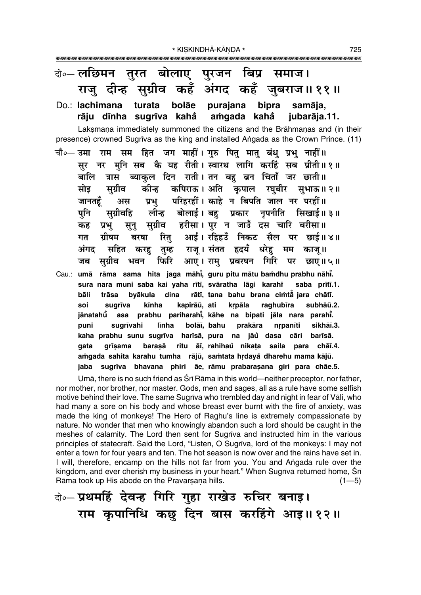| केन् लछिमन तुरत बोलाए पुरजन बिप्र समाज।                                              |
|--------------------------------------------------------------------------------------|
| राजु दीन्ह सुग्रीव कहँ अंगद कहँ जुबराज॥११॥                                           |
| Do.: lachimana turata<br>bolāe<br>purajana bipra samāja,                             |
| rāju dīnha sugrīva kahå amgada kahå jubarāja.11.                                     |
| Laksmana immediately summoned the citizens and the Brāhmanas and (in their           |
| presence) crowned Sugriva as the king and installed Angada as the Crown Prince. (11) |
| चौ०— उमा राम सम हित जग माहीं। गुरु पितु मातु बंधु प्रभु नाहीं॥                       |
| सुर नर मुनि सब कै यह रीती। स्वारथ लागि करहिं सब प्रीती॥१॥                            |
|                                                                                      |
| बालि त्रास ब्याकुल दिन राती।तन बहु ब्रन चिंताँ जर छाती॥                              |
| सोइ सुग्रीव कीन्ह कपिराऊ।अति कृपाल रघुबीर सुभाऊ॥२॥                                   |
| अस प्रभु परिहरहीं। काहे न बिपति जाल नर परहीं॥<br>जानतहूँ                             |
| सुग्रीवहि लीन्ह बोलाई।बहु प्रकार नृपनीति सिखाई॥३॥<br>पुनि                            |
| प्रभु सुनु सुग्रीव हरीसा।पुर न जाउँ दस चारि बरीसा॥<br>कह                             |
| रितु आई। रहिहउँ निकट सैल पर छाई॥४॥<br>ग्रीषम<br>बरषा<br>गत                           |
| अंगद सहित करहु तुम्ह राजू।संतत हृदयँ धरेहु मम काजू॥                                  |
| सुग्रीव भवन फिरि आए। रामु प्रबरषन गिरि पर छाए॥ ५॥<br>जब                              |
| Cau.: umā rāma sama hita jaga māhi, guru pitu mātu bamdhu prabhu nāhi.               |
| sura nara muni saba kai yaha rītī, svāratha lāgi karahī saba prītī.1.                |
| byākula dina rātī, tana bahu brana cimtā jara chātī.<br>bāli<br>trāsa                |
| kīnha<br>kapirāū, ati<br>kṛpāla<br>raghubīra<br>sugrīva<br>subhāū.2.<br>soi          |
| jānatahū asa prabhu pariharahī, kāhe na bipati jāla nara parahī.                     |
| līnha bolāī, bahu prakāra<br>sugrīvahi<br>sikhāī.3.<br>puni<br>nrpanīti              |
| kaha prabhu sunu sugrīva harīsā, pura na jāu dasa cāri<br>barīsā.                    |
| grīsama barasā ritu āī, rahihau nikata saila para chāī.4.<br>gata                    |
| amgada sahita karahu tumha rājū, samtata hrdaya dharehu mama kājū.                   |
| sugrīva bhavana phiri āe, rāmu prabarașana giri para chāe.5.<br>jaba                 |
| .                                                                                    |

Umā, there is no such friend as Srī Rāma in this world—neither preceptor, nor father, nor mother, nor brother, nor master. Gods, men and sages, all as a rule have some selfish motive behind their love. The same Sugriva who trembled day and night in fear of Vāli, who had many a sore on his body and whose breast ever burnt with the fire of anxiety, was made the king of monkeys! The Hero of Raghu's line is extremely compassionate by nature. No wonder that men who knowingly abandon such a lord should be caught in the meshes of calamity. The Lord then sent for Sugriva and instructed him in the various principles of statecraft. Said the Lord, "Listen, O Sugriva, lord of the monkeys: I may not enter a town for four years and ten. The hot season is now over and the rains have set in. I will, therefore, encamp on the hills not far from you. You and Angada rule over the kingdom, and ever cherish my business in your heart." When Sugriva returned home, Sri Rāma took up His abode on the Pravarsaņa hills.  $(1 - 5)$ 

बे-प्रथमहिं देवन्ह गिरि गुहा राखेउ रुचिर बनाइ। राम कुपानिधि कछ दिन बास करहिंगे आइ॥१२॥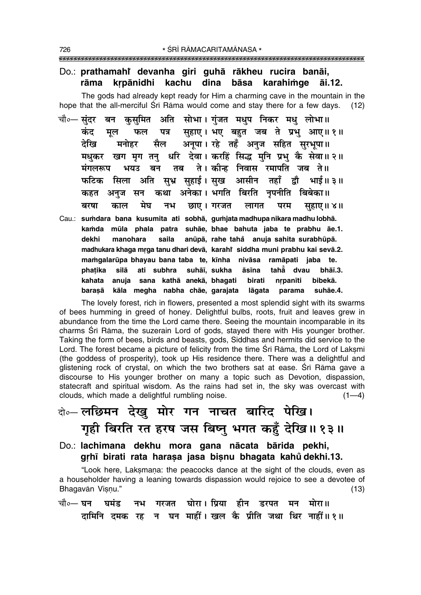#### Do.: prathamahi devanha giri guhā rākheu rucira banāi, krpānidhi kachu dina bāsa karahimge rāma āi.12.

The gods had already kept ready for Him a charming cave in the mountain in the hope that the all-merciful Sri Rama would come and stay there for a few days.  $(12)$ 

- बन कसमित अति सोभा।गंजत मधप निकर मध लोभा॥ चौ०— संदर सहाए। भए बहुत जब ते प्रभु आए॥ १॥ कंद पत्र मल फल अनुपा। रहे तहँ अनुज सहित सुरभुपा॥ देखि सैल मनोहर मधुकर खग मृग तन् धरि देवा। करहिं सिद्ध मुनि प्रभु कै सेवा॥२॥ तब ते। कीन्ह निवास रमापति जब ते॥ मंगलरूप भयउ बन फटिक सिला अति सुभ्र सुहाई। सुख आसीन तहाँ द्रौ भाई॥ ३॥ अनुज सन कथा अनेका। भगति बिरति नृपनीति बिबेका॥ कहत मेघ नभ छाए। गरजत बरषा काल लागत परम सहाए॥ ४॥
- Cau.: sumdara bana kusumita ati sobhā, gumjata madhupa nikara madhu lobhā. kamda mūla phala patra suhāe, bhae bahuta jaba te prabhu āe.1. dekhi manohara saila anūpā, rahe tahå anuja sahita surabhūpā. madhukara khaga mrga tanu dhari devā, karahi siddha muni prabhu kai sevā.2. mamgalarūpa bhayau bana taba te, kīnha nivāsa ramāpati jaba te. phatika silā ati subhra suhāī, sukha āsīna tahå dvau bhāī.3. kahata anuja sana kathā anekā, bhagati **birati** nrpanīti bibekā. kāla megha nabha chāe, garajata barasā lāgata parama suhāe.4.

The lovely forest, rich in flowers, presented a most splendid sight with its swarms of bees humming in greed of honey. Delightful bulbs, roots, fruit and leaves grew in abundance from the time the Lord came there. Seeing the mountain incomparable in its charms Srī Rāma, the suzerain Lord of gods, stayed there with His younger brother. Taking the form of bees, birds and beasts, gods, Siddhas and hermits did service to the Lord. The forest became a picture of felicity from the time Sri Rāma, the Lord of Laksmi (the goddess of prosperity), took up His residence there. There was a delightful and glistening rock of crystal, on which the two brothers sat at ease. Srī Rāma gave a discourse to His younger brother on many a topic such as Devotion, dispassion, statecraft and spiritual wisdom. As the rains had set in, the sky was overcast with clouds, which made a delightful rumbling noise.  $(1-4)$ 

# बे॰–लछिमन देखु मोर गन नाचत बारिद पेखि। गृही बिरति रत हरष जस बिष्नु भगत कहुँ देखि ॥ १३ ॥

Do.: lachimana dekhu mora gana nācata bārida pekhi, grhī birati rata harasa jasa bisnu bhagata kahů dekhi.13.

"Look here, Laksmana: the peacocks dance at the sight of the clouds, even as a householder having a leaning towards dispassion would rejoice to see a devotee of Bhagavān Visnu."  $(13)$ 

गरजत घोरा। प्रिया हीन डरपत मन मोरा॥ चौ०— घन घमंड नभ दामिनि दमक रह न घन माहीं। खल कै प्रीति जथा थिर नाहीं॥१॥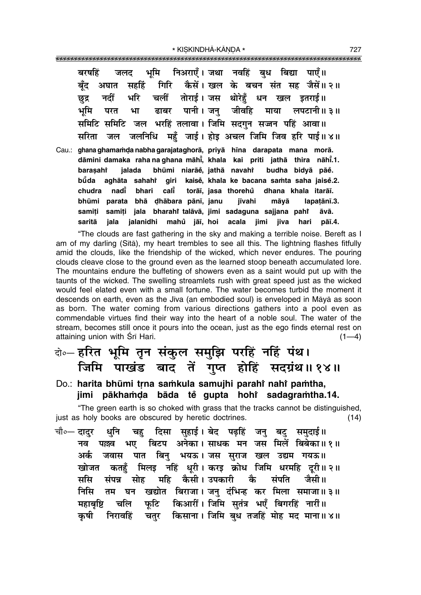|        |  |  | बरषहिं जलद भूमि निअराएँ।जथा नवहिं बुध बिद्या पाएँ॥                       |  |      |             |
|--------|--|--|--------------------------------------------------------------------------|--|------|-------------|
| बँद    |  |  | अघात सहहिं गिरि कैसें। खल के बचन संत सह जैसें॥२॥                         |  |      |             |
| छुद्र  |  |  | नदीं भरि चलीं तोराई।जस थोरेहूँ धन खल इतराई॥                              |  |      |             |
| भूमि   |  |  | परत भा ढाबर पानी।जनु जीवहि माया लपटानी॥३॥                                |  |      |             |
|        |  |  | समिटि समिटि जल भरहिं तलावा। जिमि सदगुन सज्जन पहिं आवा॥                   |  |      |             |
| सरिता  |  |  | जल जलनिधि महुँ जाई। होइ अचल जिमि जिव हरि पाई॥४॥                          |  |      |             |
|        |  |  | Cau.: ghana ghamamda nabha garajataghorā, priyā hīna darapata mana morā. |  |      |             |
|        |  |  | dāmini damaka raha na ghana māhi, khala kai priti jathā thira nāhi.1.    |  |      |             |
|        |  |  | baraşahî jalada bhūmi niarāĕ, jathā navahî budha bidyā pāĕ.              |  |      |             |
|        |  |  | būda aghāta sahahi giri kaisě, khala ke bacana samta saha jaisě.2.       |  |      |             |
|        |  |  | chudra nadi bhari cali torāi, jasa thorehů dhana khala itarāi.           |  |      |             |
| bhūmi  |  |  | parata bhā ḍhābara pānī, janu   jīvahi  māyā                             |  |      | lapatānī.3. |
| samiti |  |  | samiți jala bharahi talāvā, jimi sadaguna sajjana pahi āvā.              |  |      |             |
| saritā |  |  | jala jalanidhi mahů jāī,  hoi acala jimi jiva                            |  | hari | pāī.4.      |

"The clouds are fast gathering in the sky and making a terrible noise. Bereft as I am of my darling (Sita), my heart trembles to see all this. The lightning flashes fitfully amid the clouds, like the friendship of the wicked, which never endures. The pouring clouds cleave close to the ground even as the learned stoop beneath accumulated lore. The mountains endure the buffeting of showers even as a saint would put up with the taunts of the wicked. The swelling streamlets rush with great speed just as the wicked would feel elated even with a small fortune. The water becomes turbid the moment it descends on earth, even as the Jiva (an embodied soul) is enveloped in Māyā as soon as born. The water coming from various directions gathers into a pool even as commendable virtues find their way into the heart of a noble soul. The water of the stream, becomes still once it pours into the ocean, just as the ego finds eternal rest on attaining union with Srī Hari.  $(1-4)$ 

## बे॰ हरित भूमि तृन संकुल समुझि परहिं नहिं पंथ। जिमि पाखंड बाद तें गुप्त होहिं सदग्रंथ॥१४॥

### Do.: harita bhūmi trna samkula samujhi parahi nahi pamtha, jimi pākhamda bāda te gupta hohi sadagramtha.14.

"The green earth is so choked with grass that the tracks cannot be distinguished, just as holy books are obscured by heretic doctrines.  $(14)$ 

दिसा सुहाई। बेद पढ़हिं जनु बटु समुदाई॥ चौ०— दादर धनि चह बिटप अनेका। साधक मन जस मिलें बिबेका॥१॥ नव पल्लव भए जवास पात बिनु भयऊ। जस सुराज खल उद्यम गयऊ॥ अर्क मिलइ नहिं धूरी। करइ क्रोध जिमि धरमहि दूरी॥२॥ खोजत कतहँ महि कैसी। उपकारी कै संपति जैमी॥ ससि संपन्न सोह तम घन खद्योत बिराजा। जनु दंभिन्ह कर मिला समाजा॥३॥ निसि फूटि किआरीं। जिमि सुतंत्र भएँ बिगरहिं नारीं॥ महाबष्टि चलि चतुर किसाना। जिमि बुध तजहिं मोह मद माना॥४॥ कषी निरावहिं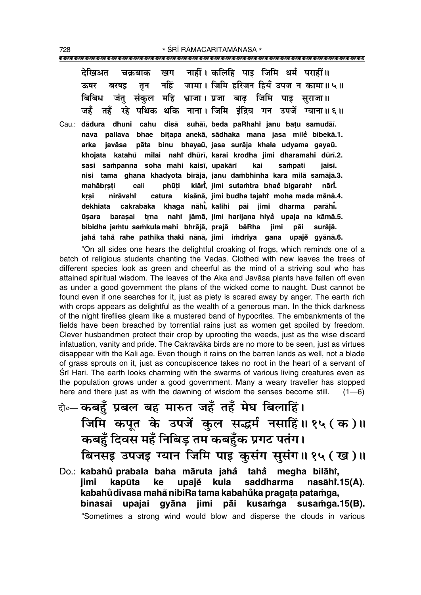|  |  | देखिअत चक्रबाक खग नाहीं। कलिहि पाइ जिमि धर्म पराहीं॥       |  |
|--|--|------------------------------------------------------------|--|
|  |  | ऊषर बरषइ तृन नहिं जामा। जिमि हरिजन हियँ उपज न कामा॥५॥      |  |
|  |  | बिबिध जंतु संकुल महि भ्राजा।प्रजा बाढ़ जिमि पाइ सुराजा॥    |  |
|  |  | जहँ तहँ रहे पथिक थकि नाना। जिमि इंद्रिय गन उपजें ग्याना॥६॥ |  |

Cau.: dādura dhuni cahu disā suhāī, beda paRhahi janu batu samudāī. nava pallava bhae bitapa anekā, sādhaka mana jasa mile bibekā.1. pāta binu bhayaū, jasa surāja khala udyama gayaū. arka iavāsa khojata katahů milai nahř dhūrī, karai krodha jimi dharamahi dūrī.2. sasi sampanna soha mahi kaisī, upakārī kai sampati iaisī. nisi tama ghana khadyota birājā, janu dambhinha kara milā samājā.3. kiāri, jimi sutamtra bhaĕ bigaraht mahābrsti cali phūti nārī. kisānā, jimi budha tajahi moha mada mānā.4. krsī nirāvaht catura khaga nāhi, kalihi pāi jimi dharma dekhiata cakrabāka parāhī. ūsara barasai trna nahi jāmā, jimi harijana hiya upaja na kāmā.5. bibidha jamtu samkula mahi bhrājā, prajā bāRha iimi pāi surājā. jahå tahå rahe pathika thaki nānā, jimi imdriya gana upaje gyānā.6.

"On all sides one hears the delightful croaking of frogs, which reminds one of a batch of religious students chanting the Vedas. Clothed with new leaves the trees of different species look as green and cheerful as the mind of a striving soul who has attained spiritual wisdom. The leaves of the Aka and Javasa plants have fallen off even as under a good government the plans of the wicked come to naught. Dust cannot be found even if one searches for it, just as piety is scared away by anger. The earth rich with crops appears as delightful as the wealth of a generous man. In the thick darkness of the night fireflies gleam like a mustered band of hypocrites. The embankments of the fields have been breached by torrential rains just as women get spoiled by freedom. Clever husbandmen protect their crop by uprooting the weeds, just as the wise discard infatuation, vanity and pride. The Cakravāka birds are no more to be seen, just as virtues disappear with the Kali age. Even though it rains on the barren lands as well, not a blade of grass sprouts on it, just as concupiscence takes no root in the heart of a servant of Sri Hari. The earth looks charming with the swarms of various living creatures even as the population grows under a good government. Many a weary traveller has stopped here and there just as with the dawning of wisdom the senses become still.  $(1-6)$ 

- वे॰ कबहँ प्रबल बह मारुत जहँ तहँ मेघ बिलाहिं। जिमि कपूत के उपजें कुल सद्धर्म नसाहिं॥१५ (क)॥ कबहुँ दिवस महँ निबिड़ तम कबहुँक प्रगट पतंग। बिनसइ उपजइ ग्यान जिमि पाइ कुसंग सूसंग॥१५ (ख)॥
- Do.: kabahů prabala baha māruta jahå tahå megha bilāhi, iimi kapūta ke upajě kula saddharma nasāh $i$ .15 $(A)$ . kabahů divasa mahå nibiRa tama kabahůka pragata patamga, kusamga susamga.15(B). binasai upajai gyāna jimi pāi "Sometimes a strong wind would blow and disperse the clouds in various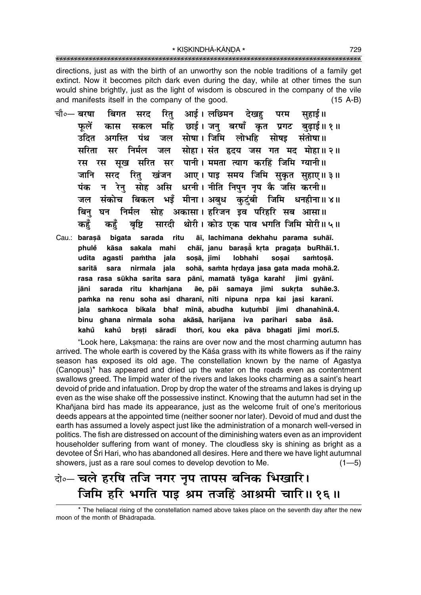directions, just as with the birth of an unworthy son the noble traditions of a family get extinct. Now it becomes pitch dark even during the day, while at other times the sun would shine brightly, just as the light of wisdom is obscured in the company of the vile and manifests itself in the company of the good.  $(15 A-B)$ 

- रित् आई।लछिमन देखह परम चौ∘— **बरषा** बिगत सरद सहाई॥ महि छाई। जन् बरषाँ कृत प्रगट बुढ़ाई॥१॥ फलें सकल कास जल सोषा। जिमि लोभहि उदित अगस्ति पंथ सोषड संतोषा॥ मरिता सोहा। संत हृदय जस गत मद मोहा॥ २॥ निर्मल जल मर रस रस सुख सरित सर पानी। ममता त्याग करहिं जिमि ग्यानी॥ रितु खंजन आए। पाइ समय जिमि सुकृत सुहाए॥३॥ जानि सरद सोह असि धरनी। नीति निपन नप कै जसि करनी॥ पंक रेन न भइँ मीना। अबुध कुटुंबी जिमि धनहीना॥४॥ संकोच बिकल जल सोह अकासा। हरिजन इव परिहरि सब आसा॥ निर्मल बिन घन सारदी श्रोरी। कोउ एक पाव भगति जिमि मोरी॥५॥ कहँ कहे बर्षि
- āī, lachimana dekhahu parama suhāī. bigata ritu Cau.: barasā sarada chāi, janu baraså krta pragata buRhāi.1. phulẻ kāsa sakala mahi udita agasti pamtha jala sosā, jimi lobhahi sosai samtosā. nirmala jala sohā, samta hrdaya jasa gata mada mohā.2. saritā sara rasa rasa sūkha sarita sara pānī, mamatā tyāga karahî jimi gyānī. sarada ritu khamjana āe, pāi samaya jimi sukrta suhāe.3. iāni pamka na renu soha asi dharani, niti nipuna nrpa kai jasi karani. jala samkoca bikala bha' mīnā abudha kutumbī jimi dhanahīnā.4. binu qhana nirmala soha akāsā, harijana iva parihari saba āsā. kahů brsti sāradī thorī, kou eka pāva bhagati jimi morī.5. kahů

"Look here, Laksmana: the rains are over now and the most charming autumn has arrived. The whole earth is covered by the Kāśa grass with its white flowers as if the rainy season has exposed its old age. The constellation known by the name of Agastya (Canopus)<sup>\*</sup> has appeared and dried up the water on the roads even as contentment swallows greed. The limpid water of the rivers and lakes looks charming as a saint's heart devoid of pride and infatuation. Drop by drop the water of the streams and lakes is drying up even as the wise shake off the possessive instinct. Knowing that the autumn had set in the Khañjana bird has made its appearance, just as the welcome fruit of one's meritorious deeds appears at the appointed time (neither sooner nor later). Devoid of mud and dust the earth has assumed a lovely aspect just like the administration of a monarch well-versed in politics. The fish are distressed on account of the diminishing waters even as an improvident householder suffering from want of money. The cloudless sky is shining as bright as a devotee of Srī Hari, who has abandoned all desires. Here and there we have light autumnal showers, just as a rare soul comes to develop devotion to Me.  $(1 - 5)$ 

## केन चले हरषि तजि नगर नृप तापस बनिक भिखारि। जिमि हरि भगति पाइ श्रम तजहिं आश्रमी चारि॥ १६॥

<sup>\*</sup> The heliacal rising of the constellation named above takes place on the seventh day after the new moon of the month of Bhadrapada.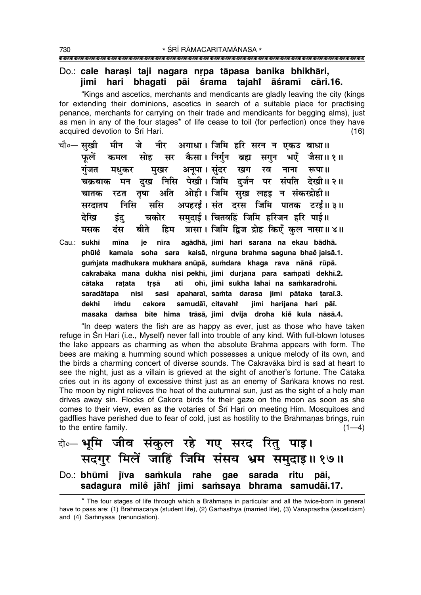### Do.: cale harași taji nagara nrpa tāpasa banika bhikhāri, hari bhaqati pāi śrama tajahi āśramī iimi cāri.16.

"Kings and ascetics, merchants and mendicants are gladly leaving the city (kings for extending their dominions, ascetics in search of a suitable place for practising penance, merchants for carrying on their trade and mendicants for begging alms), just as men in any of the four stages<sup>\*</sup> of life cease to toil (for perfection) once they have acquired devotion to Srī Hari.  $(16)$ 

- चौ०— सखी नीर अगाधा। जिमि हरि सरन न एकउ बाधा॥ मीन जे सर कैसा। निर्गुन ब्रह्म सोह सगुन भएँ जैसा॥१॥ फलें कमल मुखर अनूपा। सुंदर गंजत खग रव नाना रूपा॥ मधकर दख निसि पेखी। जिमि दर्जन पर संपति देखी॥२॥ मन चक्रबाक अति ओही। जिमि सुख लहड़ न संकरद्रोही॥ चातक रटत तृषा निमि अपहरई। संत दरस जिमि पातक टरई॥३॥ ससि सरदातप समदाई। चितवहिं जिमि हरिजन हरि पाई॥ देखि चकोर डंद हिम त्रासा। जिमि द्विज द्रोह किएँ कुल नासा॥४॥ बीते मसक टस
- Cau.: sukhī mīna agādhā, jimi hari sarana na ekau bādhā. ie nīra phūlė kamala soha sara kaisā, nirguna brahma saguna bhaė jaisā.1. gumjata madhukara mukhara anūpā, sumdara khaga rava nānā rūpā. cakrabāka mana dukha nisi pekhī, jimi durjana para sampati dekhī.2. ohī, jimi sukha lahai na samkaradrohī. cātaka ratata trsā ati sasi apaharaī, samta darasa jimi pātaka taraī.3. saradātapa nisi samudāī, citavahi jimi harijana hari pāī. dekhi imdu cakora masaka damsa bīte hima trāsā, jimi dvija droha kie kula nāsā.4.

"In deep waters the fish are as happy as ever, just as those who have taken refuge in Srī Hari (i.e., Myself) never fall into trouble of any kind. With full-blown lotuses the lake appears as charming as when the absolute Brahma appears with form. The bees are making a humming sound which possesses a unique melody of its own, and the birds a charming concert of diverse sounds. The Cakravaka bird is sad at heart to see the night, just as a villain is grieved at the sight of another's fortune. The Cataka cries out in its agony of excessive thirst just as an enemy of Sankara knows no rest. The moon by night relieves the heat of the autumnal sun, just as the sight of a holy man drives away sin. Flocks of Cakora birds fix their gaze on the moon as soon as she comes to their view, even as the votaries of Srī Hari on meeting Him. Mosquitoes and gadflies have perished due to fear of cold, just as hostility to the Brāhmanas brings, ruin to the entire family.  $(1-4)$ 

|  | क्षे∘– भूमि जीव संकुल रहे गए सरद रितु पाइ।        |  |  |                                                    |
|--|---------------------------------------------------|--|--|----------------------------------------------------|
|  |                                                   |  |  | सदगुर मिलें जाहिं जिमि संसय भ्रम समुदाइ॥१७॥        |
|  | Do.: bhūmi jīva samkula rahe gae sarada ritu pāi, |  |  |                                                    |
|  |                                                   |  |  | sadagura milė jāhi jimi samsaya bhrama samudāi.17. |

<sup>\*</sup> The four stages of life through which a Brāhmana in particular and all the twice-born in general have to pass are: (1) Brahmacarya (student life), (2) Gārhasthya (married life), (3) Vānaprastha (asceticism) and (4) Samnyasa (renunciation).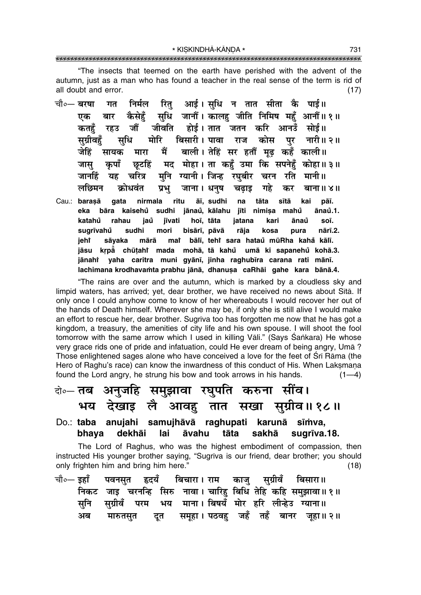"The insects that teemed on the earth have perished with the advent of the autumn, just as a man who has found a teacher in the real sense of the term is rid of all doubt and error.  $(17)$ 

- रित आई। सधि न तात सीता कै पाई॥ निर्मल चौ०— बरषा गत कैसेहूँ सुधि जानौं। कालह जीति निमिष महुँ आनौं॥१॥ एक बार जीवति होई। तात जतन करि आनउँ सोई॥ कतहँ रहउ जौं मोरि बिसारी। पावा राज पर सग्रीवहँ संधि कोस ्नारी॥ २ ॥ जेहिं मारा मैं बाली। तेहिं सर हतौं मढ कहँ काली॥ सायक कपाँ छटहिं मद मोहा। ता कहँ उमा कि सपनेहँ कोहा॥३॥ जास मुनि ग्यानी। जिन्ह रघुबीर चरन यह चरित्र रति मानी॥ जानहिं लछिमन कोधवंत प्रभ जाना । धनुष चढाड गहे कर बाना॥ ४॥
- Cau.: barasā gata nirmala ritu āī, sudhi na tāta sītā kai pāī. sudhi jānaů, kālahu jīti nimisa mahů eka bāra kaisehů ānaů.1. jaů katahů rahau iīvati hoī, tāta jatana kari ānaů soī. sugrīvahů sudhi mori bisārī, pāvā rāja kosa pura nārī.2. mai bālī, tehi sara hataŭ mūRha kahå kālī. jeht sāyaka mārā jāsu krpā chūtahi mada mohā, tā kahů umā ki sapanehů kohā.3. jānahi yaha caritra muni gyānī, jinha raghubīra carana rati mānī. lachimana krodhavamta prabhu jānā, dhanusa caRhāi gahe kara bānā.4.

"The rains are over and the autumn, which is marked by a cloudless sky and limpid waters, has arrived; yet, dear brother, we have received no news about Sītā. If only once I could anyhow come to know of her whereabouts I would recover her out of the hands of Death himself. Wherever she may be, if only she is still alive I would make an effort to rescue her, dear brother. Sugriva too has forgotten me now that he has got a kingdom, a treasury, the amenities of city life and his own spouse. I will shoot the fool tomorrow with the same arrow which I used in killing Vali." (Says Śankara) He whose very grace rids one of pride and infatuation, could He ever dream of being angry, Uma? Those enlightened sages alone who have conceived a love for the feet of Sri Rāma (the Hero of Raghu's race) can know the inwardness of this conduct of His. When Laksmana found the Lord angry, he strung his bow and took arrows in his hands.  $(1-4)$ 

### के⊶ तब अनुजहि समुझावा रघुपति करुना सींव। आवहु तात सखा सुग्रीव॥१८॥ भय देखाइ लै

#### Do.: taba anujahi samujhāvā raghupati karunā sīmva, sugrīva.18. dekhāi lai tāta sakhā bhaya āvahu

The Lord of Raghus, who was the highest embodiment of compassion, then instructed His younger brother saying, "Sugrīva is our friend, dear brother; you should only frighten him and bring him here."  $(18)$ 

|    |  | चौ∘— इहाँ पवनसृत हृदयँ बिचारा । राम काजु सुग्रीवँ बिसारा ॥ |  |                                                             |
|----|--|------------------------------------------------------------|--|-------------------------------------------------------------|
|    |  |                                                            |  | निकट जाइ चरनन्हि सिरु नावा। चारिहु बिधि तेहि कहि समुझावा॥१॥ |
|    |  | सनि सग्रीवँ परम भय माना।।बिषयँ मोर हरि लीन्हेउ ग्याना॥     |  |                                                             |
| अब |  |                                                            |  | मारुतसुत दूत समूहा । पठवहु जहँ तहँ बानर जूहा ॥ २ ॥          |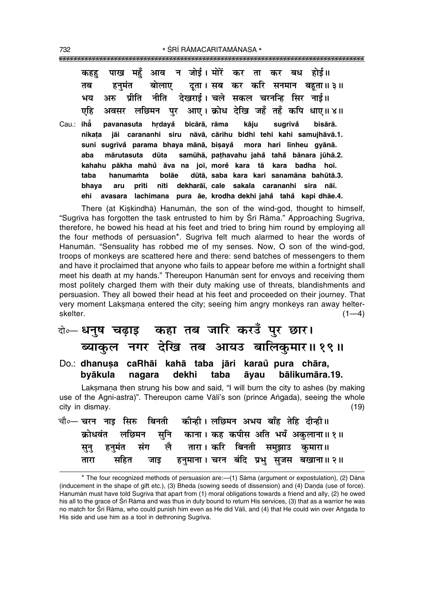|  |  | कहह पाख महँ आव न जोई। मोरें कर ता कर बध होई॥                   |  |  |                                                                     |
|--|--|----------------------------------------------------------------|--|--|---------------------------------------------------------------------|
|  |  |                                                                |  |  | तब हनुमंत बोलाए दुता। सब कर करि सनमान बहुता॥ ३॥                     |
|  |  | भय अरु प्रीति नीति देखराई। चले सकल चरनन्हि सिर नाई॥            |  |  |                                                                     |
|  |  |                                                                |  |  | एहि अवसर लछिमन पुर आए।क्रोध देखि जहँ तहँ कपि धाए॥४॥                 |
|  |  | Cau.: iha pavanasuta hrdayå bicārā, rāma kāju sugrīvå bisārā.  |  |  | nikata jāi carananhi siru nāvā, cārihu bidhi tehi kahi samujhāvā.1. |
|  |  | suni sugrīvă parama bhaya mānā, bisayă mora hari līnheu gyānā. |  |  |                                                                     |

**aba mårutasuta dµuta samµuhå, pa¢havahu jaha° taha° bånara jµuhå.2. kahahu påkha mahu åva na ° jo∂, more kara tå kara badha ho∂. ° taba hanuma≈ta bolåe dµutå, saba kara kari sanamåna bahµutå.3. bhaya aru pr∂ti n∂ti dekharå∂, cale sakala carananhi sira nå∂. ehi avasara lachimana pura åe, krodha dekhi jaha° taha° kapi dhåe.4.**

There (at Kiskindhā) Hanumān, the son of the wind-god, thought to himself, "Sugrīva has forgotten the task entrusted to him by Śrī Rāma." Approaching Sugrīva, therefore, he bowed his head at his feet and tried to bring him round by employing all the four methods of persuasion\*. Sugr∂va felt much alarmed to hear the words of Hanumān. "Sensuality has robbed me of my senses. Now, O son of the wind-god, troops of monkeys are scattered here and there: send batches of messengers to them and have it proclaimed that anyone who fails to appear before me within a fortnight shall meet his death at my hands.î Thereupon Hanumån sent for envoys and receiving them most politely charged them with their duty making use of threats, blandishments and persuasion. They all bowed their head at his feet and proceeded on their journey. That very moment Laksmana entered the city; seeing him angry monkeys ran away helter $s$ kelter.  $(1-4)$ 

दो**∘– धनुष चढ़ाइ कहा तब जारि करउँ पुर छार। ब्याकुल नगर देखि तब आयउ बालिकुमार॥१९॥** Do.: **dhanu¶a caRhåi kahå taba jåri karau pura chåra, °**

# **byåkula nagara dekhi taba åyau bålikumåra.19.**

Laksmana then strung his bow and said, "I will burn the city to ashes (by making use of the Agni-astra)". Thereupon came Vāli's son (prince Angada), seeing the whole city in dismay. (19)

चौ०— चरन नाइ सिरु बिनती कीन्ही । लछिमन अभय बाँह तेहि दीन्ही ॥ क्रोधवंत लछिमन सनि काना। कह कपीस अति भयँ अकलाना॥ १॥ सुनु हनुमंत संग लै तारा। करि बिनती समुझाउ कुमारा॥ <u>तारा सहित जाइ हनुमाना । चरन बंदि प्रभु सुजस बखाना॥२॥</u>

<sup>\*</sup> The four recognized methods of persuasion are:—(1) Sāma (argument or expostulation), (2) Dāna (inducement in the shape of gift etc.), (3) Bheda (sowing seeds of dissension) and (4) Danda (use of force). Hanumān must have told Sugrīva that apart from (1) moral obligations towards a friend and ally, (2) he owed his all to the grace of Śrī Rāma and was thus in duty bound to return His services, (3) that as a warrior he was no match for Śrī Rāma, who could punish him even as He did Vāli, and (4) that He could win over Angada to His side and use him as a tool in dethroning Sugrīva.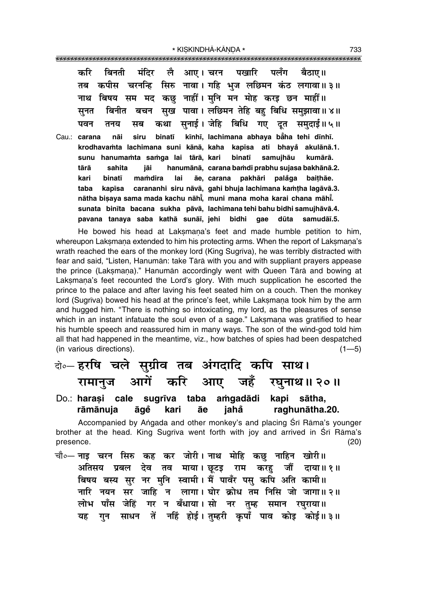| करि बिनती मंदिर लै आए।चरन पखारि पलँग बैठाए॥                                     |
|---------------------------------------------------------------------------------|
| कपीस चरनन्हि सिरु नावा। गहि भुज लछिमन कंठ लगावा॥३॥<br>तब                        |
| नाथ बिषय सम मद कछु नाहीं। मुनि मन मोह करइ छन माहीं॥                             |
| सुनत   बिनीत   बचन   सुख   पावा । लछिमन  तेहि  बहु  बिधि  समुझावा ॥ ४ ॥         |
| पवन तनय सब कथा सुनाई।ञेहि बिधि गए दूत समुदाई॥५॥                                 |
| nāi siru binatī kīnhī, lachimana abhaya bāha tehi dīnhī.<br>Cau.: <b>carana</b> |
| krodhavamta lachimana suni kānā, kaha kapīsa ati bhayă akulānā.1.               |
| hanumamta samga lai tārā, kari binatī samujhāu kumārā.<br>sunu                  |
| jāi<br>tārā<br>sahita<br>hanumānā, carana bamdi prabhu sujasa bakhānā.2.        |
| kari<br>binatī<br>mamdira lai āe, carana pakhāri<br>palåga baithae.             |
| kapīsa carananhi siru nāvā, gahi bhuja lachimana kamtha lagāvā.3.<br>taba       |
| nātha bisaya sama mada kachu nāhi, muni mana moha karai chana māhi.             |
| sunata binīta bacana sukha pāvā, lachimana tehi bahu bidhi samujhāvā.4.         |
| pavana tanaya saba kathā sunāī, jehi bidhi gae<br>dūta<br>samudāī.5.            |

He bowed his head at Laksmana's feet and made humble petition to him, whereupon Laksmana extended to him his protecting arms. When the report of Laksmana's wrath reached the ears of the monkey lord (King Sugrīva), he was terribly distracted with fear and said, "Listen, Hanumān: take Tārā with you and with suppliant prayers appease the prince (Laksmana)." Hanumān accordingly went with Queen Tārā and bowing at Laksmana's feet recounted the Lord's glory. With much supplication he escorted the prince to the palace and after laving his feet seated him on a couch. Then the monkey lord (Sugrīva) bowed his head at the prince's feet, while Laksmana took him by the arm and hugged him. "There is nothing so intoxicating, my lord, as the pleasures of sense which in an instant infatuate the soul even of a sage." Laksmana was gratified to hear his humble speech and reassured him in many ways. The son of the wind-god told him all that had happened in the meantime, viz., how batches of spies had been despatched (in various directions).  $(1-5)$ 

# दो**०– हरषि चले सुग्रीव तब अंगदादि कपि साथ। रामानुज आगें करि आए जहँ रघुनाथ॥२०॥**

Do.: **hara¶i cale sugr∂va taba a≈gadådi kapi såtha, råmånuja åge kari åe jaha ° raghunåtha.20. °**

Accompanied by Angada and other monkey's and placing Śrī Rāma's younger brother at the head. King Sugrīva went forth with joy and arrived in Śrī Rāma's presence. (20)

चौ०— <mark>नाइ च</mark>रन सिरु कह कर जोरी। नाथ मोहि कछु नाहिन खोरी॥ **अतिसय प्रबल देव तव माया। छूटइ राम करहु जौं दाया॥१॥** <u>क्षिप्रय बस्य सुर नर मुनि स्वामी। मैं पावँर पसु कपि अति कामी॥</u>  $\frac{1}{2}$  जी हैं। सबैंद में लागा। घोर क्रोध तम निसि जो जागा॥ २॥ लोभ पाँस जेहिं गर न बँधाया।सो नर तुम्ह समान रघुराया॥ यह गन साधन तें नहिं होई।तम्हरी कपाँ पाव कोड़ कोई॥३॥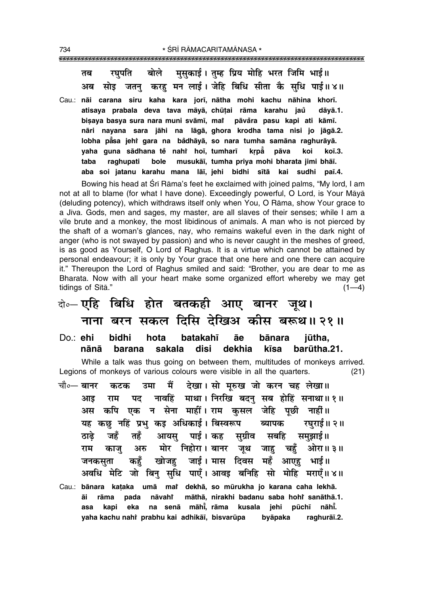बोले मसकाई। तम्ह प्रिय मोहि भरत जिमि भाई॥ रघपति तब जतन करह मन लाई। जेहि बिधि सीता कै सधि पाई॥४॥ अब सोड

Cau.: nāi carana siru kaha kara jorī, nātha mohi kachu nāhina khorī. atisaya prabala deva tava māyā, chūțai rāma karahu jaŭ dāyā.1. bisaya basya sura nara muni svāmī, mai pāvåra pasu kapi ati kāmī. nāri nayana sara jāhi na lāgā, ghora krodha tama nisi jo jāgā.2. lobha pasa jehr gara na bådhāyā, so nara tumha samāna raghurāyā. yaha guna sādhana tě nahř hoi, tumhari krpå pāva koi koī.3. taba raghupati bole musukāi, tumha priva mohi bharata jimi bhāi. aba soi jatanu karahu mana lāi, jehi bidhi sītā kai sudhi paī.4.

Bowing his head at Srī Rāma's feet he exclaimed with joined palms, "My lord, I am not at all to blame (for what I have done). Exceedingly powerful, O Lord, is Your Māyā (deluding potency), which withdraws itself only when You, O Rāma, show Your grace to a Jiva. Gods, men and sages, my master, are all slaves of their senses; while I am a vile brute and a monkey, the most libidinous of animals. A man who is not pierced by the shaft of a woman's glances, nay, who remains wakeful even in the dark night of anger (who is not swayed by passion) and who is never caught in the meshes of greed, is as good as Yourself, O Lord of Raghus. It is a virtue which cannot be attained by personal endeavour; it is only by Your grace that one here and one there can acquire it." Thereupon the Lord of Raghus smiled and said: "Brother, you are dear to me as Bharata. Now with all your heart make some organized effort whereby we may get tidings of Sītā."  $(1-4)$ 

## के-एहि बिधि होत बतकही आए बानर जूथ। नाना बरन सकल दिसि देखिअ कीस बरूथ॥२१॥

Do.: ehi bidhi hota batakahī āe bānara jūtha, nānā sakala iaih dekhia barūtha.21. barana kīsa

While a talk was thus going on between them, multitudes of monkeys arrived. Legions of monkeys of various colours were visible in all the quarters.  $(21)$ 

मैं देखा। सो मरुख जो करन चह लेखा।। चौ०— **बानर** उमा कटक नावहिं माथा। निरखि बदन सब होहिं सनाथा॥१॥ पट आड राम कपि एक न सेना माहीं। राम कसल जेहि पूछी नाहीं॥ अस यह कछ नहिं प्रभ कड अधिकाई। बिस्वरूप ब्यापक रघराई॥ २॥ जहँ तहँ आयस् पाई । कह सुग्रीव सबहि ठाढे समुझाई ॥ राम अरु मोर निहोरा । बानर जुथ चहँ ओरा॥ ३॥ काज जाह जाई। मास दिवस महँ कहँ खोजह आएह जनकसता भाई ॥ अवधि मेटि जो बिन् सुधि पाएँ। आवइ बनिहि सो मोहि मराएँ॥ ४॥ Cau.: bānara kataka umā mai dekhā, so mūrukha jo karana caha lekhā. nāvahř māthā, nirakhi badanu saba hohi sanāthā.1. āi rāma pada na senā māhi, rāma kusala jehi pūchī nāhi. asa kapi eka yaha kachu nahi prabhu kai adhikāī, bisvarūpa byāpaka raghurāī.2.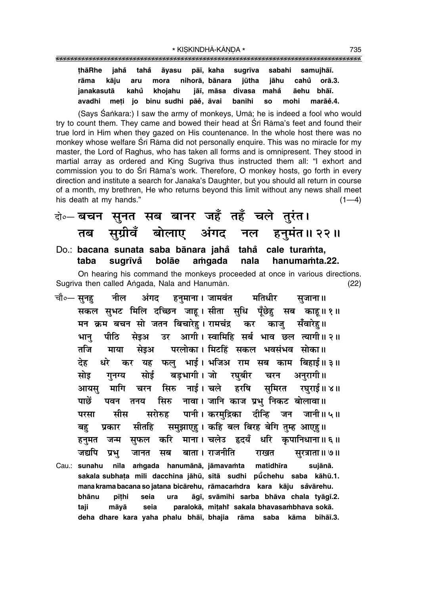**¢håRhe jaha° taha° åyasu på∂, kaha sugr∂va sabahi samujhå∂.** rāma kāju aru mora nihorā, bānara jūtha jāhu cahů orā.3. **janakasutå kahu khojahu ° jå∂, måsa divasa maha° åehu bhå∂. avadhi me¢i jo binu sudhi påe° , åvai banihi so mohi maråe°.4.**

(Says Śankara:) I saw the army of monkeys, Umā; he is indeed a fool who would try to count them. They came and bowed their head at Śrī Rāma's feet and found their true lord in Him when they gazed on His countenance. In the whole host there was no monkey whose welfare Śrī Rāma did not personally enquire. This was no miracle for my master, the Lord of Raghus, who has taken all forms and is omnipresent. They stood in martial array as ordered and King Sugrīva thus instructed them all: "I exhort and commission you to do Śrī Rāma's work. Therefore, O monkey hosts, go forth in every direction and institute a search for Janaka's Daughter, but you should all return in course of a month, my brethren, He who returns beyond this limit without any news shall meet his death at my hands."  $(1-4)$ 

दो**०– बचन सुनत सब बानर जहँ तहँ चले तुरंत।** तब सुग्रीवँ बोलाए अंगद नल हनुमंत॥२२॥ Do.: **bacana sunata saba bånara jaha taha ° cale tura≈ta, °**

On hearing his command the monkeys proceeded at once in various directions. Sugr∂va then called A∆gada, Nala and Hanumån. (22)

**taba sugr∂va° bolåe a≈gada nala hanuma≈ta.22.**

चौ०— सुनहु नील अंगद हनुमाना । जामवंत मतिधीर सुजाना ॥ सकल सुभट मिलि दच्छिन जाह। सीता सुधि पुँछेह सब काह॥१॥ <u>मन क्रम बचन सो जतन बिचारेह। रामचंद्र कर काजु सँवारेह॥</u> भान पीठि सेइअ उर आगी। स्वामिहि सर्ब भाव छल त्यागी॥ २॥ तजि माया सेइअ परलोका। मिटहिं सकल भवसंभव सोका॥ देह धरे कर यह फल भाई। भजिअ राम सब काम बिहाई॥ ३॥ सोइ गनग्य सोई बडभागी।जो रघबीर चरन अनरागी॥ <u>आयस मागि चरन सिरु नाई। चले हरषि समिरत रघराई॥ ४॥</u> <u>पाछें पवन तनय सिरु नावा।जानि काज प्रभ</u>ानिकट बोलावा॥ परसा सीस सरोरुह पानी। करमुद्रिका दीन्हि जन जानी॥**५॥** बह**ं प्रकार सीतहि समुझाएह। कहि बल बिरह बेगि** तुम्ह आएह।। हनमत जन्म सफल करि माना।**चलेउ हृदयँ धरि कपानिधाना॥६॥ जद्यपि प्रभ् जानत सब बाता**। राजनीति राखत सुरत्राता॥ ७॥ Cau.: **sunahu n∂la a≈gada hanumånå, jåmava≈ta matidh∂ra sujånå. sakala subha¢a mili dacchina jåhµu, s∂tå sudhi pµu° chehu saba kåhµu.1. mana kramabacana so jatana bicårehu, råmaca≈dra kara kåju sa°vårehu. bhånu p∂¢hi seia ura åg∂, svåmihi sarba bhåva chala tyåg∂.2. taji måyå seia paralokå, mi¢ahiÚ sakala bhavasa≈bhava sokå.**

**deha dhare kara yaha phalu bhå∂, bhajia råma saba kåma bihå∂.3.**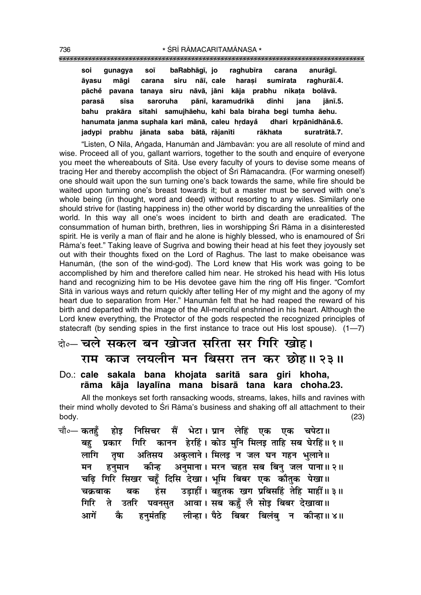| soi    | qunaqya                                                             | <b>SOĪ</b>                            | baRabhāgī, jo |  | raghubīra carana |                                       | anurāgī.     |
|--------|---------------------------------------------------------------------|---------------------------------------|---------------|--|------------------|---------------------------------------|--------------|
| āyasu  | māɑi                                                                | carana siru nāī, cale harasi sumirata |               |  |                  |                                       | raghurāī.4.  |
|        | pāchě pavana tanaya siru nāvā, jāni kāja prabhu nikata bolāvā.      |                                       |               |  |                  |                                       |              |
| parasā | sīsa                                                                |                                       |               |  |                  | saroruha pānī, karamudrikā dīnhi jana | iānī.5.      |
|        | bahu prakāra sītahi samujhāehu, kahi bala biraha begi tumha āehu.   |                                       |               |  |                  |                                       |              |
|        | hanumata janma suphala kari mānā, caleu hrdayå dhari krpānidhānā.6. |                                       |               |  |                  |                                       |              |
|        | jadypi prabhu jānata saba bātā, rājanīti                            |                                       |               |  | rākhata          |                                       | suratrātā.7. |

ìListen, O N∂la, A∆gada, Hanumån and Jåmbavån: you are all resolute of mind and wise. Proceed all of you, gallant warriors, together to the south and enquire of everyone you meet the whereabouts of Sītā. Use every faculty of yours to devise some means of tracing Her and thereby accomplish the object of Śrī Rāmacandra. (For warming oneself) one should wait upon the sun turning one's back towards the same, while fire should be waited upon turning one's breast towards it; but a master must be served with one's whole being (in thought, word and deed) without resorting to any wiles. Similarly one should strive for (lasting happiness in) the other world by discarding the unrealities of the world. In this way all one's woes incident to birth and death are eradicated. The consummation of human birth, brethren, lies in worshipping Śrī Rāma in a disinterested spirit. He is verily a man of flair and he alone is highly blessed, who is enamoured of Śrī Rāma's feet." Taking leave of Sugrīva and bowing their head at his feet they joyously set out with their thoughts fixed on the Lord of Raghus. The last to make obeisance was Hanumån, (the son of the wind-god). The Lord knew that His work was going to be accomplished by him and therefore called him near. He stroked his head with His lotus hand and recognizing him to be His devotee gave him the ring off His finger. "Comfort Sītā in various ways and return quickly after telling Her of my might and the agony of my heart due to separation from Her." Hanumān felt that he had reaped the reward of his birth and departed with the image of the All-merciful enshrined in his heart. Although the Lord knew everything, the Protector of the gods respected the recognized principles of statecraft (by sending spies in the first instance to trace out His lost spouse).  $(1-7)$ 

## दो**०** चले सकल बन खोजत सरिता सर गिरि खोह। **राम काज लयलीन मन बिसरा तन कर छोह।। २३।।**

### Do.: **cale sakala bana khojata saritå sara giri khoha, råma kåja layal∂na mana bisarå tana kara choha.23.**

All the monkeys set forth ransacking woods, streams, lakes, hills and ravines with their mind wholly devoted to Śrī Rāma's business and shaking off all attachment to their body. (23)

चौ०— कतहुँ होइ निसिचर सैं भेटा।**प्रान लेहिं एक एक चपेटा**॥ ेबह**ें प्रकार गिरि कानन हेरहिं। कोउ मनि मिलड़ ताहि सब घेरहिं॥ १ ॥** लागि तृषा अतिसय अकुलाने।<sup>मिलइ न</sup> जल घन गहन भुलाने॥ <u>मन हनु</u>मान कीन्ह अनुमाना।।मरन चहत सब बिनु जल पाना॥२॥ <u>चढ़ि गिरि सिखर चहूँ दिसि देखा। भूमि बिबर एक कौतुक पेखा॥</u> **ø∑˝§'Ê∑§ '∑§ "¢U' ©U«∏UÊ"UË¥ – '"ÈUÃ∑§ πª ¬˝Á''Á"¢U ÃÁ"U ◊Ê"UË¥H 3H** <u>गिरि ते उतरि पवनसुत आवा। सब कहुँ</u> लै सोइ बिबर देखावा॥ आगें के हनमंतहि लीन्हा। पैठे बिबर बिलंब न कीन्हा॥ ४॥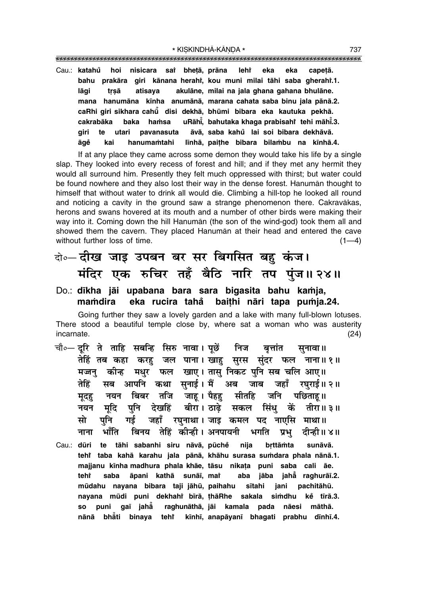| Cau.: <b>katahů</b> |      |       |  | hoi nisicara sai bhetā, prāna lehi eka eka |  | capetā.                                                             |
|---------------------|------|-------|--|--------------------------------------------|--|---------------------------------------------------------------------|
| bahu                |      |       |  |                                            |  | prakāra giri kānana herahi, kou muni milai tāhi saba gherahi.1.     |
| lāai                | trsā |       |  |                                            |  | atisaya akulāne, milai na jala ghana gahana bhulāne.                |
|                     |      |       |  |                                            |  | mana hanumāna kīnha anumānā, marana cahata saba binu jala pānā.2.   |
|                     |      |       |  |                                            |  | caRhi giri sikhara cahū disi dekhā, bhūmi bibara eka kautuka pekhā. |
|                     |      |       |  |                                            |  | cakrabāka baka hamsa uRāhi, bahutaka khaga prabisahi tehi māhi.3.   |
| airi te             |      | utari |  |                                            |  | pavanasuta āvā, saba kahů lai soi bibara dekhāvā.                   |
| āqĕ                 | kai  |       |  |                                            |  | hanumamtahi līnhā, paithe bibara bilambu na kīnhā.4.                |

If at any place they came across some demon they would take his life by a single slap. They looked into every recess of forest and hill; and if they met any hermit they would all surround him. Presently they felt much oppressed with thirst; but water could be found nowhere and they also lost their way in the dense forest. Hanuman thought to himself that without water to drink all would die. Climbing a hill-top he looked all round and noticing a cavity in the ground saw a strange phenomenon there. Cakravākas, herons and swans hovered at its mouth and a number of other birds were making their way into it. Coming down the hill Hanuman (the son of the wind-god) took them all and showed them the cavern. They placed Hanuman at their head and entered the cave without further loss of time.  $(1-4)$ 

## बे. दीख जाइ उपबन बर सर बिगसित बहु कंज। मंदिर एक रुचिर तहँ बैठि नारि तप पुंज॥२४॥

#### Do.: dīkha jāi upabana bara sara bigasita bahu kamja, mamdira eka rucira tahå baithi nāri tapa pumja.24.

Going further they saw a lovely garden and a lake with many full-blown lotuses. There stood a beautiful temple close by, where sat a woman who was austerity incarnate.  $(24)$ 

- चौ०— दूरि ते ताहि सबन्हि सिरु नावा। पूछें निज बत्तांत सनावा ॥ तेहिं तब कहा करहु जल पाना। खाहु सुरस सुंदर फल नाना॥१॥ मज्जनु कीन्ह मधुर फल खाए। तासु निकट पुनि सब चलि आए॥ सब आपनि कथा सुनाई। मैं अब जाब जहाँ रघुराई॥२॥ तेहिं नयन बिबर तजि जाहू।यैहहु सीतहि जनि पछिताहू॥ मृदहु मृदि पुनि देखहिं बीरा। ठाढ़े सकल सिंधु कें तीरा॥३॥ नयन गई जहाँ रघुनाथा। जाइ कमल पद नाएसि माथा॥ पनि मो बिनय तेहिं कीन्ही। अनपायनी भगति प्रभ भाँति दीन्ही॥ ४॥ नाना
- nija Cau.: dūri te tāhi sabanhi siru nāvā, pūchě brttāmta sunāvā. tehi taba kahā karahu jala pānā, khāhu surasa sumdara phala nānā.1. majjanu kīnha madhura phala khāe, tāsu nikata puni saba cali āe. teht saba āpani kathā sunāī, mar aba jāba jaha raghurāī.2. mūdahu nayana bibara taji jāhū, paihahu sītahi jani pachitāhū. ke tīrā.3. nayana mūdi puni dekhahi bīrā, thāRhe sakala siṁdhu so puni gaī jahā raghunāthā, jāi kamala pada nāesi māthā. nānā bhåti binaya tehi<sup>\*</sup> kīnhī, anapāyanī bhagati prabhu dīnhī.4.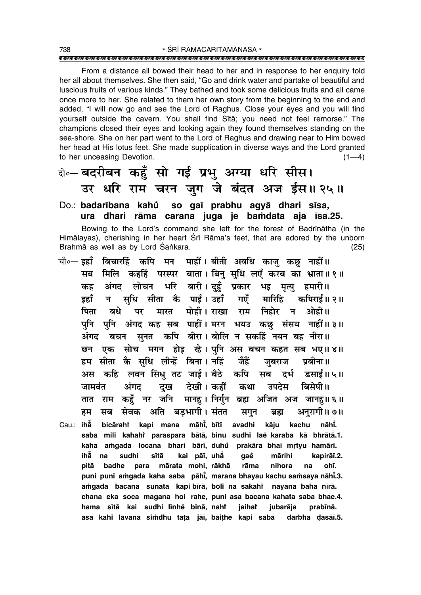From a distance all bowed their head to her and in response to her enquiry told her all about themselves. She then said, "Go and drink water and partake of beautiful and luscious fruits of various kinds." They bathed and took some delicious fruits and all came once more to her. She related to them her own story from the beginning to the end and added, "I will now go and see the Lord of Raghus. Close your eyes and you will find yourself outside the cavern. You shall find Sita; you need not feel remorse." The champions closed their eves and looking again they found themselves standing on the sea-shore. She on her part went to the Lord of Raghus and drawing near to Him bowed her head at His lotus feet. She made supplication in diverse ways and the Lord granted to her unceasing Devotion.  $(1-4)$ 

## बे-बदरीबन कहूँ सो गई प्रभु अग्या धरि सीस। उर धरि राम चरन जुग जे बंदत अज ईस॥२५॥

## Do.: badarībana kahů so gaī prabhu agyā dhari sīsa, ura dhari rāma carana juga je bamdata aja īsa.25.

Bowing to the Lord's command she left for the forest of Badrīnātha (in the Himalayas), cherishing in her heart Sri Rama's feet, that are adored by the unborn Brahmā as well as by Lord Śankara.  $(25)$ 

- चौ०— इहाँ बिचारहिं कपि मन माहीं। बीती अवधि काजु कछु नाहीं॥ मिलि कहहिं परस्पर बाता। बिनु सुधि लएँ करब का भ्राता॥१॥ मब अंगद लोचन भरि बारी। दहँ प्रकार भड़ मत्य हमारी॥ कह सुधि सीता कै पाई। उहाँ गएँ मारिहि डहाँ कपिराई॥ २॥ न पिता मारत मोही। राखा राम निहोर न बिधे ओही।। पर पनि पनि अंगद कह सब पाहीं। मरन भयउ कछ संसय नाहीं॥३॥ अंगद बचन सुनत कपि बीरा।बोलि न सकहिं नयन बह नीरा॥ छन एक सोच मगन होड़ रहे। पनि अस बचन कहत सब भए॥४॥ हम सीता कै सधि लीन्हें बिना। नहिं जैहें जबराज पबीना॥ कहि लवन सिंधु तट जाई। बैठे कपि दर्भ सब डसाई॥ ५॥ अस दख देखी। कहीं जामवंत अंगद बिसेषी ॥ कथा उपदेस तात राम कहुँ नर जनि मानहु। निर्गुन ब्रह्म अजित अज जानहु॥६॥ सब सेवक अति बड़भागी। संतत अनुरागी॥ ७॥ हम सगुन ब्रह्म bicārahi kapi mana māhi, bītī Cau.: iha avadhi kāiu kachu nāhŤ.
- saba mili kahahi paraspara bātā, binu sudhi laĕ karaba kā bhrātā.1. kaha amgada locana bhari bārī, duhů prakāra bhai mrtyu hamārī. ihẳ na sudhi kai pāī, uha sītā aaě mārihi kapirāī.2. rāma badhe mārata mohi, rākhā nihora ohī. pitā para na puni puni amgada kaha saba pāhi, marana bhayau kachu samsaya nāhi.3. amgada bacana sunata kapi bīrā, boli na sakahi nayana baha nīrā. chana eka soca magana hoi rahe, puni asa bacana kahata saba bhae.4. hama sītā kai sudhi līnhe binā, nahi jaihař jubarāja prabīnā. asa kahi lavana simdhu tata jāī, baithe kapi saba darbha dasāī.5.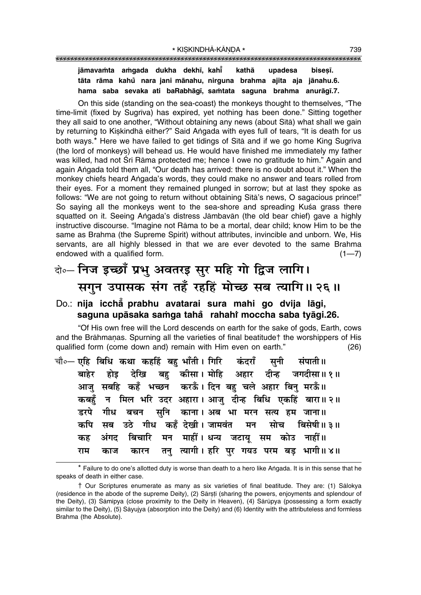### **jåmava≈ta a≈gada dukha dekh∂, kah∂°** kathā upadesa bisesī. **tåta råma kahu nara jani ° månahu, nirguna brahma ajita aja jånahu.6. hama saba sevaka ati baRabhåg∂, sa≈tata saguna brahma anuråg∂.7.**

On this side (standing on the sea-coast) the monkeys thought to themselves, "The time-limit (fixed by Sugrīva) has expired, yet nothing has been done." Sitting together they all said to one another, "Without obtaining any news (about Sītā) what shall we gain by returning to Kiskindhā either?" Said Angada with eyes full of tears, "It is death for us both ways.<sup>\*</sup> Here we have failed to get tidings of Sītā and if we go home King Sugrīva (the lord of monkeys) will behead us. He would have finished me immediately my father was killed, had not Śrī Rāma protected me; hence I owe no gratitude to him." Again and again Angada told them all, "Our death has arrived: there is no doubt about it." When the monkey chiefs heard Angada's words, they could make no answer and tears rolled from their eyes. For a moment they remained plunged in sorrow; but at last they spoke as follows: "We are not going to return without obtaining Sītā's news, O sagacious prince!" So saying all the monkeys went to the sea-shore and spreading Kusa grass there squatted on it. Seeing Angada's distress Jāmbavān (the old bear chief) gave a highly instructive discourse. "Imagine not Rāma to be a mortal, dear child; know Him to be the same as Brahma (the Supreme Spirit) without attributes, invincible and unborn. We, His servants, are all highly blessed in that we are ever devoted to the same Brahma endowed with a qualified form.  $(1-7)$ 

# दो**0 निज इच्छाँ प्रभु अवतरइ सुर महि गो द्विज लागि।** सगुन उपासक संग तहँ रहहिं मोच्छ सब त्यागि॥ २६॥

## Do.: **nija icchå° prabhu avatarai sura mahi go dvija lågi, saguna upåsaka sa≈ga taha rahahi ° Ú moccha saba tyågi.26.**

ìOf His own free will the Lord descends on earth for the sake of gods, Earth, cows and the Brāhmanas. Spurning all the varieties of final beatitude† the worshippers of His qualified form (come down and) remain with Him even on earth." (26)

|  |  |  |  | चौ∘— एहि बिधि कथा कहहिं बहु भाँती। गिरि कंदराँ सुनी संपाती॥ |  |
|--|--|--|--|-------------------------------------------------------------|--|
|  |  |  |  | बाहेर होइ देखि बहु कीसा।मोहि अहार दीन्ह जगदीसा॥१॥           |  |
|  |  |  |  | आजु सबहि कहँ भच्छन करऊँ। दिन बहु चले अहार बिनु मरऊँ॥        |  |
|  |  |  |  | कबहुँ न मिल भरि उदर अहारा। आजु दीन्ह बिधि एकहिं बारा॥२॥     |  |
|  |  |  |  | डरपे गीध बचन सुनि काना। अब भा मरन सत्य हम जाना॥             |  |
|  |  |  |  | कपि सब उठे गीध कहँ देखी।जामवंत मन सोच बिसेषी॥३॥             |  |
|  |  |  |  | कह अंगद बिचारि मन माहीं।धन्य जटायू सम कोउ नाहीं॥            |  |
|  |  |  |  | राम काज कारन तनु त्यागी। हरि पुर गयउ परम बड़ भागी॥४॥        |  |

\* Failure to do one's allotted duty is worse than death to a hero like Angada. It is in this sense that he speaks of death in either case.

<sup>†</sup> Our Scriptures enumerate as many as six varieties of final beatitude. They are: (1) Sålokya (residence in the abode of the supreme Deity), (2) Sārsti (sharing the powers, enjoyments and splendour of the Deity), (3) Sāmīpya (close proximity to the Deity in Heaven), (4) Sārūpya (possessing a form exactly similar to the Deity), (5) Såyujya (absorption into the Deity) and (6) Identity with the attributeless and formless Brahma (the Absolute).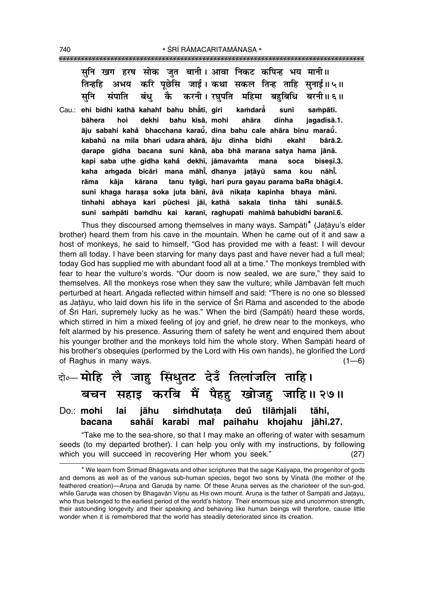सनि खग हरष सोक जत बानी। आवा निकट कपिन्ह भय मानी॥ अभय करि पूछेसि जाई। कथा सकल तिन्ह ताहि सुनाई॥५॥ सनि संपाति बंध कै करनी।**रघपति महिमा बहबिधि बरनी॥६॥** 

Cau.: **ehi bidhi kathå kahahiÚ bahu bhå° t∂, giri ka≈darå°** sunī sampātī. **båhera hoi dekhi bahu k∂så, mohi ahåra d∂nha jagad∂så.1.**  $\bar{\bf a}$ ju sabahi kahå bhacchana karaū̃, dina bahu cale ahāra binu maraū̃. **kabahu na mila bhari udara ° ahårå, åju d∂nha bidhi ekahiÚ bårå.2. Œarape g∂dha bacana suni kånå, aba bhå marana satya hama jånå. kapi saba u¢he g∂dha kaha° dekh∂, jåmava≈ta mana soca bise¶∂.3. kaha a≈gada bicåri mana måh∂° , dhanya ja¢åyµu sama kou nåh∂° . råma kåja kårana tanu tyåg∂, hari pura gayau parama baRa bhåg∂.4. suni khaga hara¶a soka juta bån∂, åvå nika¢a kapinha bhaya mån∂. tinhahi abhaya kari pµuchesi jå∂, kathå sakala tinha tåhi sunå∂.5. suni sa≈påti ba≈dhu kai karan∂, raghupati mahimå bahubidhi baran∂.6.**

Thus they discoursed among themselves in many ways. Sampātī<sup>\*</sup> (Jatāyu's elder brother) heard them from his cave in the mountain. When he came out of it and saw a host of monkeys, he said to himself, "God has provided me with a feast: I will devour them all today. I have been starving for many days past and have never had a full meal; today God has supplied me with abundant food all at a time." The monkeys trembled with fear to hear the vulture's words. "Our doom is now sealed, we are sure," they said to themselves. All the monkeys rose when they saw the vulture; while Jåmbavån felt much perturbed at heart. Angada reflected within himself and said: "There is no one so blessed as Jatāyu, who laid down his life in the service of Śrī Rāma and ascended to the abode of Śrī Hari, supremely lucky as he was." When the bird (Sampātī) heard these words, which stirred in him a mixed feeling of joy and grief, he drew near to the monkeys, who felt alarmed by his presence. Assuring them of safety he went and enquired them about his younger brother and the monkeys told him the whole story. When Sampātī heard of his brother's obsequies (performed by the Lord with His own hands), he glorified the Lord of Raghus in many ways.  $(1-6)$ 

# दो**0– मोहि लै जाह सिंधुतट देउँ तिलांजलि ताहि।** े**बचन सहाइ करबि मैं पैहहु खोजहु जाहि॥**२७॥

## Do.: **mohi lai jåhu si≈dhuta¢a deu tilå≈jali tåhi, ° bacana sahåi karabi maiÚ paihahu khojahu jåhi.27.**

ìTake me to the sea-shore, so that I may make an offering of water with sesamum seeds (to my departed brother). I can help you only with my instructions, by following which you will succeed in recovering Her whom you seek." (27)

<sup>\*</sup> We learn from Śrīmad Bhāgavata and other scriptures that the sage Kaśyapa, the progenitor of gods and demons as well as of the various sub-human species, begot two sons by Vinatå (the mother of the feathered creation)—Aruna and Garuda by name. Of these Aruna serves as the charioteer of the sun-god, while Garuda was chosen by Bhagavān Visnu as His own mount. Aruna is the father of Sampātī and Jatāyu, who thus belonged to the earliest period of the world's history. Their enormous size and uncommon strength, their astounding longevity and their speaking and behaving like human beings will therefore, cause little wonder when it is remembered that the world has steadily deteriorated since its creation.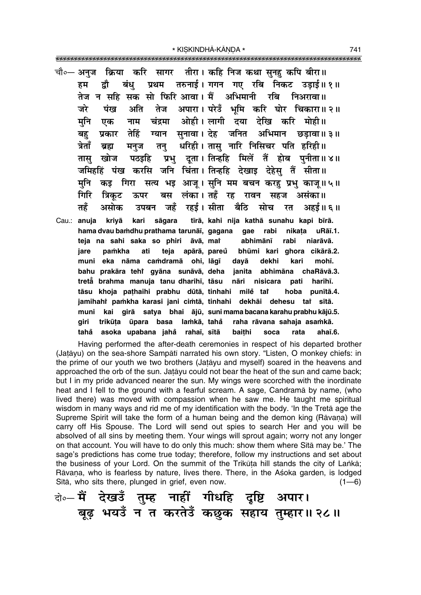किया करि सागर चौ∘— अनज तीरा। कहि निज कथा सनह कपि बीरा॥ बंध् तरुनाई। गगन गए रबि निकट उडाई॥१॥ हम द्रौ प्रथम तेज न सहि सक सो फिरि आवा। मैं अभिमानी रबि निअरावा॥ अपारा। परेउँ भूमि करि घोर चिकारा॥२॥ जरे पंख अति तेज ओही। लागी दया देखि करि मोही॥ मनि नाम चंद्रमा एक तेहिं ग्यान सनावा।देह जनित अभिमान बह प्रकार छडावा॥ ३॥ धरिही। तासु नारि निसिचर पति हरिही॥ त्रेताँ मन्ज तनु ब्रह्म प्रभ दता। तिन्हहि मिलें तैं होब पनीता॥४॥ तास खोज पठडहि जमिहहिं पंख करसि जनि चिंता। तिन्हहि देखाइ देहेसु तैं सीता॥ कड़ गिरा सत्य भइ आज् । सुनि मम बचन करह प्रभु काजु॥५॥ मनि गिरि लंका। तहँ रह रावन बस असंका॥ त्रिकट ऊपर सहज तहैं असोक जहँ रहई। सीता बैठि सोच उपबन रत अहर्ड ॥ ६ ॥

tīrā, kahi nija kathā sunahu kapi bīrā. Cau.: anuja kriyā kari sāgara hama dvau bamdhu prathama tarunāī, gagana rabi nikata gae uRāī.1. āvā, mat teja na sahi saka so phiri abhimānī rabi niarāvā. iare pamkha ati teja apārā, pareŭ bhūmi kari ghora cikārā.2. muni eka nāma camdramā ohi, lāgī davā dekhi kari mohī. bahu prakāra tehi gyāna sunāvā, deha janita abhimāna chaRāvā.3. tretă brahma manuja tanu dharihī, tāsu nāri nisicara pati harihī. tāsu khoja pathaihi prabhu dūtā, tinhahi milė tat hoba punītā.4. jamihahi pamkha karasi jani cimtā, tinhahi dekhāi dehesu tai sītā. muni kai girā satya bhai ājū, sunimamabacana karahu prabhu kājū.5. trikūța ūpara basa lamkā, tahå raha rāvana sahaja asamkā. giri tahå asoka upabana jahå rahaī, sītā rata baithi soca ahaī.6.

Having performed the after-death ceremonies in respect of his departed brother (Jatāyu) on the sea-shore Sampātī narrated his own story. "Listen, O monkey chiefs: in the prime of our youth we two brothers (Jatayu and myself) soared in the heavens and approached the orb of the sun. Jatayu could not bear the heat of the sun and came back; but I in my pride advanced nearer the sun. My wings were scorched with the inordinate heat and I fell to the ground with a fearful scream. A sage, Candrama by name, (who lived there) was moved with compassion when he saw me. He taught me spiritual wisdom in many ways and rid me of my identification with the body. 'In the Treta age the Supreme Spirit will take the form of a human being and the demon king (Rāvana) will carry off His Spouse. The Lord will send out spies to search Her and you will be absolved of all sins by meeting them. Your wings will sprout again; worry not any longer on that account. You will have to do only this much: show them where Sita may be.' The sage's predictions has come true today; therefore, follow my instructions and set about the business of your Lord. On the summit of the Trikūta hill stands the city of Lanka; Rāvaņa, who is fearless by nature, lives there. There, in the Aśoka garden, is lodged Sītā, who sits there, plunged in grief, even now.  $(1-6)$ 

के⊶ मैं देखडँ तुम्ह नाहीं गीधहि दृष्टि अपार। बूढ़ भयउँ न त करतेउँ कछुक सहाय तुम्हार॥२८॥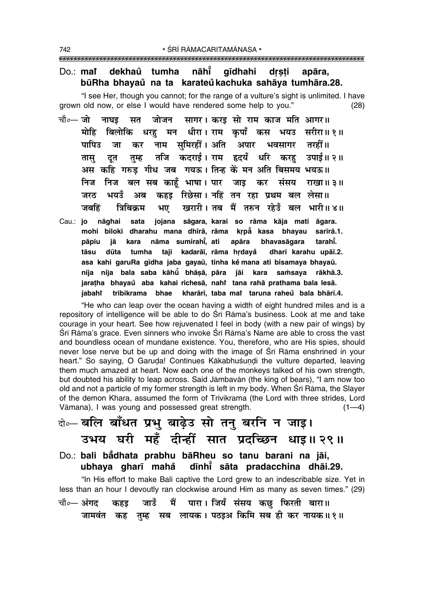#### nāhī  $Do::$  marger dekhaŭ tumha qīdhahi drsti apāra, būRha bhayaů na ta karateů kachuka sahāya tumhāra.28.

"I see Her, though you cannot; for the range of a vulture's sight is unlimited. I have grown old now, or else I would have rendered some help to you."  $(28)$ 

- चौ०— जो सत जोजन सागर। करड सो राम काज मति आगर॥ नाघड धरह मन धीरा।ारम कुपाँ कस भयउ सरीरा॥१॥ मोहि बिलोकि नाम समिरहीं।अति अपार पापिउ तरहीं ॥ जा कर भवसागर तजि कदराई। राम हृदयँ धरि करहु ्उपाई॥ २॥ तम्ह तास दत अस कहि गरुड गीध जब गयऊ। तिन्ह कें मन अति बिसमय भयऊ॥ निज निज बल सब काहँ भाषा। पार जाइ कर संसय राखा॥ ३॥ भयउँ कहड़ रिछेसा। नहिं तन रहा प्रथम बल लेसा॥ जरठ अब जबहिं त्रिबिकम भए खरारी। तब मैं तरुन रहेउँ बल भारी॥४॥
- sata jojana sāgara, karai so rāma kāja mati āgara. Cau.: jo nāghai mohi biloki dharahu mana dhīrā, rāma krpå kasa bhayau sarīrā.1. nāma sumirahī, ati apāra bhavasāgara tarahi. pāpju iā kara tāsu dūta tumha taji kadarāī, rāma hrdayå dhari karahu upāī.2. asa kahi garuRa gīdha jaba gayaū, tinha ke mana ati bisamaya bhayaū. nija nija bala saba kāhū bhāṣā, pāra jāi kara saṁsaya rākhā.3. jarațha bhayaů aba kahai richesā, nahi tana rahā prathama bala lesā. jabaht tribikrama bhae kharārī, taba mat taruna raheu bala bhārī.4.

"He who can leap over the ocean having a width of eight hundred miles and is a repository of intelligence will be able to do Srī Rāma's business. Look at me and take courage in your heart. See how rejuvenated I feel in body (with a new pair of wings) by Śrī Rāma's grace. Even sinners who invoke Śrī Rāma's Name are able to cross the vast and boundless ocean of mundane existence. You, therefore, who are His spies, should never lose nerve but be up and doing with the image of Sri Rama enshrined in your heart." So saying, O Garuda! Continues Kākabhuśundi the vulture departed, leaving them much amazed at heart. Now each one of the monkeys talked of his own strength, but doubted his ability to leap across. Said Jāmbavān (the king of bears), "I am now too old and not a particle of my former strength is left in my body. When Sri Rama, the Slayer of the demon Khara, assumed the form of Trivikrama (the Lord with three strides, Lord Vāmana), I was young and possessed great strength.  $(1-4)$ 

## बे-बलि बाँधत प्रभु बाढ़ेउ सो तनु बरनि न जाइ। उभय घरी महँ दीन्हीं सात प्रदच्छिन धाइ॥२९॥ Do.: bali bådhata prabhu bāRheu so tanu barani na jāi,

ubhaya gharī mahå dīnhī sāta pradacchina dhāi.29.

"In His effort to make Bali captive the Lord grew to an indescribable size. Yet in less than an hour I devoutly ran clockwise around Him as many as seven times." (29) में पारा। जियँ संसय कछ फिरती बारा॥ चौ०— अंगद जाउँ कहड तम्ह सब लायक। पठइअ किमि सब ही कर नायक॥१॥ जामवंत कह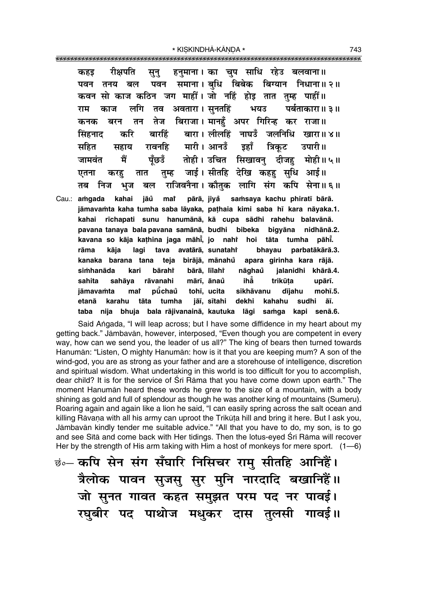रीक्षपति हनमाना। का चप साधि रहेउ बलवाना॥ कहड सून् समाना। बधि बिबेक बिग्यान निधाना॥२॥ पवन तनय बल पवन कवन सो काज कठिन जग माहीं। जो नहिं होड़ तात तम्ह पाहीं॥ लगि अवतारा। सूनतहिं भयउ पर्बताकारा॥ ३॥ राम काज तव बिराजा। मानहँ अपर गिरिन्ह कर तेज कनक बरन तन राजा ॥ बारहिं बारा। लीलहिं नाघउँ जलनिधि सिंहनाट करि खारा॥४॥ रावनहि मारी । आनउँ डहाँ महित त्रिकट उपारी॥ सहाय मैं जामवंत पँछउँ तोही। उचित सिखावनु दीजहु मोही॥५॥ जाई। सीतहि देखि कहह सुधि आई॥ तम्ह एतना करह तात राजिवनैना। कौतक लागि संग कपि सेना॥६॥ तब निज भज बल Cau.: amgada kahai iāů mat pārā, jiyå samsaya kachu phiratī bārā.

jāmavamta kaha tumha saba lāyaka, pathaia kimi saba hī kara nāyaka.1. rīchapati sunu hanumānā, kā cupa sādhi rahehu balavānā. kahai pavana tanaya bala pavana samānā, budhi bibeka bigyāna nidhānā.2. kavana so kāja kathina jaga māhi, jo naht hoi tāta tumha pāhi. rāma kāia lagi tava avatārā, sunatahi bhayau parbatākārā.3. birājā, mānahů kanaka barana tana teja apara girinha kara rājā. simhanāda kari bāraht bārā, līlaht nāghaů jalanidhi khārā.4. sahita sahāya rāvanahi mārī, ānaů ihằ trikūta upārī. jāmavamta mar pūchaů tohī, ucita sikhāvanu dījahu mohī.5. etanā karahu tāta tumha jāī, sītahi dekhi kahahu sudhi āī. taba niia bhuja bala rājivanainā, kautuka lāgi samqa kapi senā.6.

Said Angada, "I will leap across; but I have some diffidence in my heart about my getting back." Jāmbavān, however, interposed, "Even though you are competent in every way, how can we send you, the leader of us all?" The king of bears then turned towards Hanumān: "Listen, O mighty Hanumān: how is it that you are keeping mum? A son of the wind-god, you are as strong as your father and are a storehouse of intelligence, discretion and spiritual wisdom. What undertaking in this world is too difficult for you to accomplish, dear child? It is for the service of Sri Rama that you have come down upon earth." The moment Hanuman heard these words he grew to the size of a mountain, with a body shining as gold and full of splendour as though he was another king of mountains (Sumeru). Roaring again and again like a lion he said, "I can easily spring across the salt ocean and killing Rāvana with all his army can uproot the Trikūta hill and bring it here. But I ask you, Jāmbavān kindly tender me suitable advice." "All that you have to do, my son, is to go and see Sitā and come back with Her tidings. Then the lotus-eyed Srī Rāma will recover Her by the strength of His arm taking with Him a host of monkeys for mere sport.  $(1-6)$ 

<u>कंन्</u> कपि सेन संग सँघारि निसिचर राम् सीतहि आनिहैं। त्रैलोक पावन सुजसु सुर मुनि नारदादि बखानिहैं॥ जो सूनत गावत कहत समुझत परम पद नर पावई। रघुबीर पद पाथोज मधुकर दास तुलसी गावई॥